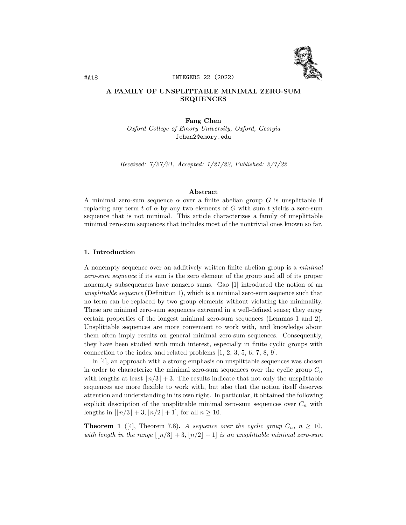

# A FAMILY OF UNSPLITTABLE MINIMAL ZERO-SUM SEQUENCES

Fang Chen Oxford College of Emory University, Oxford, Georgia fchen2@emory.edu

Received: 7/27/21, Accepted: 1/21/22, Published: 2/7/22

### Abstract

A minimal zero-sum sequence  $\alpha$  over a finite abelian group G is unsplittable if replacing any term t of  $\alpha$  by any two elements of G with sum t yields a zero-sum sequence that is not minimal. This article characterizes a family of unsplittable minimal zero-sum sequences that includes most of the nontrivial ones known so far.

### 1. Introduction

A nonempty sequence over an additively written finite abelian group is a minimal zero-sum sequence if its sum is the zero element of the group and all of its proper nonempty subsequences have nonzero sums. Gao [1] introduced the notion of an unsplittable sequence (Definition 1), which is a minimal zero-sum sequence such that no term can be replaced by two group elements without violating the minimality. These are minimal zero-sum sequences extremal in a well-defined sense; they enjoy certain properties of the longest minimal zero-sum sequences (Lemmas 1 and 2). Unsplittable sequences are more convenient to work with, and knowledge about them often imply results on general minimal zero-sum sequences. Consequently, they have been studied with much interest, especially in finite cyclic groups with connection to the index and related problems [1, 2, 3, 5, 6, 7, 8, 9].

In [4], an approach with a strong emphasis on unsplittable sequences was chosen in order to characterize the minimal zero-sum sequences over the cyclic group  $C_n$ with lengths at least  $\lfloor n/3 \rfloor + 3$ . The results indicate that not only the unsplittable sequences are more flexible to work with, but also that the notion itself deserves attention and understanding in its own right. In particular, it obtained the following explicit description of the unsplittable minimal zero-sum sequences over  $C_n$  with lengths in  $\lfloor n/3 \rfloor + 3$ ,  $\lfloor n/2 \rfloor + 1$ , for all  $n \ge 10$ .

**Theorem 1** ([4], Theorem 7.8). A sequence over the cyclic group  $C_n$ ,  $n \geq 10$ , with length in the range  $\lfloor n/3 \rfloor + 3$ ,  $\lfloor n/2 \rfloor + 1$  is an unsplittable minimal zero-sum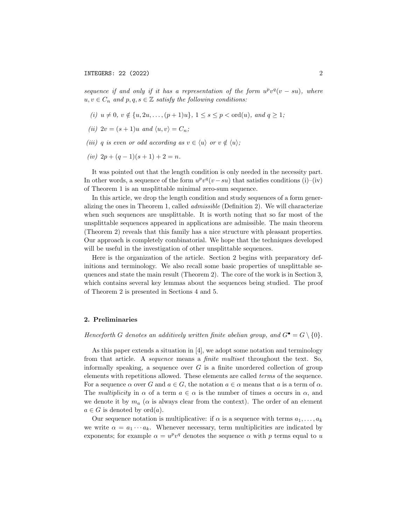sequence if and only if it has a representation of the form  $u^pv^q(v - su)$ , where  $u, v \in C_n$  and  $p, q, s \in \mathbb{Z}$  satisfy the following conditions:

- (i)  $u \neq 0, v \notin \{u, 2u, \ldots, (p+1)u\}, 1 \leq s \leq p \leq \text{ord}(u), and q \geq 1;$
- (ii)  $2v = (s + 1)u$  and  $\langle u, v \rangle = C_n$ ;
- (iii) q is even or odd according as  $v \in \langle u \rangle$  or  $v \notin \langle u \rangle$ ;
- (iv)  $2p + (q 1)(s + 1) + 2 = n$ .

It was pointed out that the length condition is only needed in the necessity part. In other words, a sequence of the form  $u^p v^q (v - s u)$  that satisfies conditions (i)–(iv) of Theorem 1 is an unsplittable minimal zero-sum sequence.

In this article, we drop the length condition and study sequences of a form generalizing the ones in Theorem 1, called admissible (Definition 2). We will characterize when such sequences are unsplittable. It is worth noting that so far most of the unsplittable sequences appeared in applications are admissible. The main theorem (Theorem 2) reveals that this family has a nice structure with pleasant properties. Our approach is completely combinatorial. We hope that the techniques developed will be useful in the investigation of other unsplittable sequences.

Here is the organization of the article. Section 2 begins with preparatory definitions and terminology. We also recall some basic properties of unsplittable sequences and state the main result (Theorem 2). The core of the work is in Section 3, which contains several key lemmas about the sequences being studied. The proof of Theorem 2 is presented in Sections 4 and 5.

#### 2. Preliminaries

Henceforth G denotes an additively written finite abelian group, and  $G^{\bullet} = G \setminus \{0\}.$ 

As this paper extends a situation in [4], we adopt some notation and terminology from that article. A sequence means a finite multiset throughout the text. So, informally speaking, a sequence over  $G$  is a finite unordered collection of group elements with repetitions allowed. These elements are called terms of the sequence. For a sequence  $\alpha$  over G and  $a \in G$ , the notation  $a \in \alpha$  means that a is a term of  $\alpha$ . The multiplicity in  $\alpha$  of a term  $a \in \alpha$  is the number of times a occurs in  $\alpha$ , and we denote it by  $m_a$  ( $\alpha$  is always clear from the context). The order of an element  $a \in G$  is denoted by ord $(a)$ .

Our sequence notation is multiplicative: if  $\alpha$  is a sequence with terms  $a_1, \ldots, a_k$ we write  $\alpha = a_1 \cdots a_k$ . Whenever necessary, term multiplicities are indicated by exponents; for example  $\alpha = u^p v^q$  denotes the sequence  $\alpha$  with p terms equal to u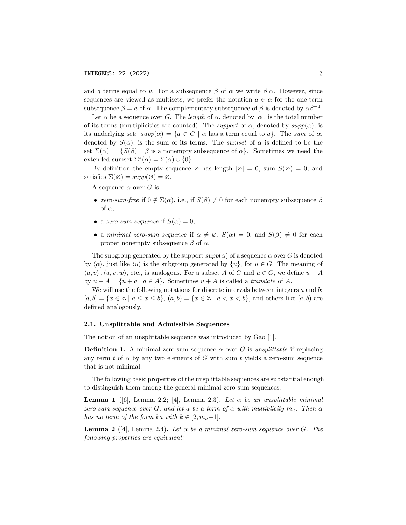and q terms equal to v. For a subsequence  $\beta$  of  $\alpha$  we write  $\beta|\alpha$ . However, since sequences are viewed as multisets, we prefer the notation  $a \in \alpha$  for the one-term subsequence  $\beta = a$  of  $\alpha$ . The complementary subsequence of  $\beta$  is denoted by  $\alpha \beta^{-1}$ .

Let  $\alpha$  be a sequence over G. The length of  $\alpha$ , denoted by  $|\alpha|$ , is the total number of its terms (multiplicities are counted). The *support* of  $\alpha$ , denoted by  $supp(\alpha)$ , is its underlying set:  $supp(\alpha) = \{a \in G \mid \alpha \text{ has a term equal to } a\}.$  The sum of  $\alpha$ , denoted by  $S(\alpha)$ , is the sum of its terms. The *sumset* of  $\alpha$  is defined to be the set  $\Sigma(\alpha) = \{S(\beta) \mid \beta \text{ is a nonempty subsequence of } \alpha\}.$  Sometimes we need the extended sumset  $\Sigma^*(\alpha) = \Sigma(\alpha) \cup \{0\}.$ 

By definition the empty sequence  $\varnothing$  has length  $|\varnothing| = 0$ , sum  $S(\varnothing) = 0$ , and satisfies  $\Sigma(\emptyset) = supp(\emptyset) = \emptyset$ .

A sequence  $\alpha$  over G is:

- zero-sum-free if  $0 \notin \Sigma(\alpha)$ , i.e., if  $S(\beta) \neq 0$  for each nonempty subsequence  $\beta$ of  $\alpha$ ;
- a zero-sum sequence if  $S(\alpha) = 0$ ;
- a minimal zero-sum sequence if  $\alpha \neq \emptyset$ ,  $S(\alpha) = 0$ , and  $S(\beta) \neq 0$  for each proper nonempty subsequence  $β$  of  $α$ .

The subgroup generated by the support  $supp(\alpha)$  of a sequence  $\alpha$  over G is denoted by  $\langle \alpha \rangle$ , just like  $\langle u \rangle$  is the subgroup generated by  $\{u\}$ , for  $u \in G$ . The meaning of  $\langle u, v \rangle$ ,  $\langle u, v, w \rangle$ , etc., is analogous. For a subset A of G and  $u \in G$ , we define  $u + A$ by  $u + A = \{u + a \mid a \in A\}$ . Sometimes  $u + A$  is called a translate of A.

We will use the following notations for discrete intervals between integers  $a$  and  $b$ :  $[a, b] = \{x \in \mathbb{Z} \mid a \le x \le b\}, (a, b) = \{x \in \mathbb{Z} \mid a < x < b\},\$ and others like  $[a, b]$  are defined analogously.

### 2.1. Unsplittable and Admissible Sequences

The notion of an unsplittable sequence was introduced by Gao [1].

**Definition 1.** A minimal zero-sum sequence  $\alpha$  over G is unsplittable if replacing any term t of  $\alpha$  by any two elements of G with sum t yields a zero-sum sequence that is not minimal.

The following basic properties of the unsplittable sequences are substantial enough to distinguish them among the general minimal zero-sum sequences.

**Lemma 1** ([6], Lemma 2.2; [4], Lemma 2.3). Let  $\alpha$  be an unsplittable minimal zero-sum sequence over G, and let a be a term of  $\alpha$  with multiplicity  $m_a$ . Then  $\alpha$ has no term of the form ka with  $k \in [2, m_a+1]$ .

**Lemma 2** ([4], Lemma 2.4). Let  $\alpha$  be a minimal zero-sum sequence over G. The following properties are equivalent: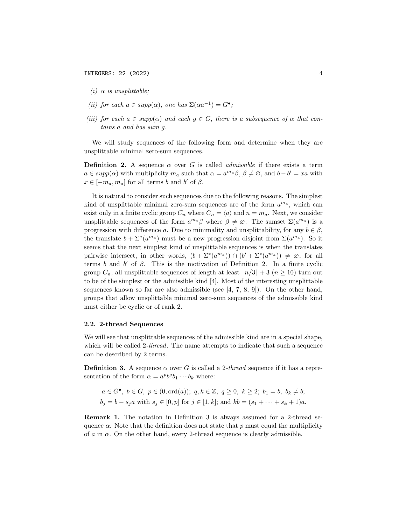- (i)  $\alpha$  is unsplittable;
- (ii) for each  $a \in supp(\alpha)$ , one has  $\Sigma(\alpha a^{-1}) = G^{\bullet}$ ;
- (iii) for each  $a \in supp(\alpha)$  and each  $g \in G$ , there is a subsequence of  $\alpha$  that contains a and has sum g.

We will study sequences of the following form and determine when they are unsplittable minimal zero-sum sequences.

**Definition 2.** A sequence  $\alpha$  over G is called *admissible* if there exists a term  $a \in supp(\alpha)$  with multiplicity  $m_a$  such that  $\alpha = a^{m_a} \beta$ ,  $\beta \neq \emptyset$ , and  $b - b' = xa$  with  $x \in [-m_a, m_a]$  for all terms b and b' of  $\beta$ .

It is natural to consider such sequences due to the following reasons. The simplest kind of unsplittable minimal zero-sum sequences are of the form  $a^{m_a}$ , which can exist only in a finite cyclic group  $C_n$  where  $C_n = \langle a \rangle$  and  $n = m_a$ . Next, we consider unsplittable sequences of the form  $a^{m_a}\beta$  where  $\beta \neq \emptyset$ . The sumset  $\Sigma(a^{m_a})$  is a progression with difference a. Due to minimality and unsplittability, for any  $b \in \beta$ , the translate  $b + \sum^* (a^{m_a})$  must be a new progression disjoint from  $\Sigma(a^{m_a})$ . So it seems that the next simplest kind of unsplittable sequences is when the translates pairwise intersect, in other words,  $(b + \Sigma^*(a^{m_a})) \cap (b' + \Sigma^*(a^{m_a})) \neq \emptyset$ , for all terms b and b' of  $\beta$ . This is the motivation of Definition 2. In a finite cyclic group  $C_n$ , all unsplittable sequences of length at least  $\lfloor n/3 \rfloor + 3$   $(n \geq 10)$  turn out to be of the simplest or the admissible kind [4]. Most of the interesting unsplittable sequences known so far are also admissible (see  $[4, 7, 8, 9]$ ). On the other hand, groups that allow unsplittable minimal zero-sum sequences of the admissible kind must either be cyclic or of rank 2.

### 2.2. 2-thread Sequences

We will see that unsplittable sequences of the admissible kind are in a special shape, which will be called 2-*thread*. The name attempts to indicate that such a sequence can be described by 2 terms.

**Definition 3.** A sequence  $\alpha$  over G is called a 2-thread sequence if it has a representation of the form  $\alpha = a^p b^q b_1 \cdots b_k$  where:

$$
a \in G^{\bullet}, b \in G, p \in (0, \text{ord}(a)); q, k \in \mathbb{Z}, q \ge 0, k \ge 2; b_1 = b, b_k \ne b;
$$
  
 $b_j = b - s_j a \text{ with } s_j \in [0, p] \text{ for } j \in [1, k]; \text{ and } kb = (s_1 + \cdots + s_k + 1)a.$ 

Remark 1. The notation in Definition 3 is always assumed for a 2-thread sequence  $\alpha$ . Note that the definition does not state that p must equal the multiplicity of  $\alpha$  in  $\alpha$ . On the other hand, every 2-thread sequence is clearly admissible.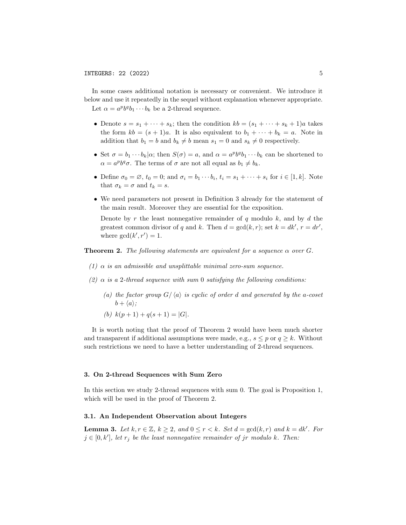In some cases additional notation is necessary or convenient. We introduce it below and use it repeatedly in the sequel without explanation whenever appropriate. Let  $\alpha = a^p b^q b_1 \cdots b_k$  be a 2-thread sequence.

- Denote  $s = s_1 + \cdots + s_k$ ; then the condition  $kb = (s_1 + \cdots + s_k + 1)a$  takes the form  $kb = (s + 1)a$ . It is also equivalent to  $b_1 + \cdots + b_k = a$ . Note in addition that  $b_1 = b$  and  $b_k \neq b$  mean  $s_1 = 0$  and  $s_k \neq 0$  respectively.
- Set  $\sigma = b_1 \cdots b_k | \alpha$ ; then  $S(\sigma) = a$ , and  $\alpha = a^p b^q b_1 \cdots b_k$  can be shortened to  $\alpha = a^p b^q \sigma$ . The terms of  $\sigma$  are not all equal as  $b_1 \neq b_k$ .
- Define  $\sigma_0 = \emptyset$ ,  $t_0 = 0$ ; and  $\sigma_i = b_1 \cdots b_i$ ,  $t_i = s_1 + \cdots + s_i$  for  $i \in [1, k]$ . Note that  $\sigma_k = \sigma$  and  $t_k = s$ .
- We need parameters not present in Definition 3 already for the statement of the main result. Moreover they are essential for the exposition.

Denote by r the least nonnegative remainder of  $q$  modulo  $k$ , and by  $d$  the greatest common divisor of q and k. Then  $d = \gcd(k, r)$ ; set  $k = dk', r = dr'$ , where  $gcd(k', r') = 1$ .

**Theorem 2.** The following statements are equivalent for a sequence  $\alpha$  over G.

- (1)  $\alpha$  is an admissible and unsplittable minimal zero-sum sequence.
- (2)  $\alpha$  is a 2-thread sequence with sum 0 satisfying the following conditions:
	- (a) the factor group  $G/\langle a \rangle$  is cyclic of order d and generated by the a-coset  $b + \langle a \rangle$ :
	- (b)  $k(p+1) + q(s+1) = |G|.$

It is worth noting that the proof of Theorem 2 would have been much shorter and transparent if additional assumptions were made, e.g.,  $s \leq p$  or  $q \geq k$ . Without such restrictions we need to have a better understanding of 2-thread sequences.

#### 3. On 2-thread Sequences with Sum Zero

In this section we study 2-thread sequences with sum 0. The goal is Proposition 1, which will be used in the proof of Theorem 2.

#### 3.1. An Independent Observation about Integers

**Lemma 3.** Let  $k, r \in \mathbb{Z}, k \geq 2$ , and  $0 \leq r < k$ . Set  $d = \gcd(k, r)$  and  $k = dk'$ . For  $j \in [0, k']$ , let  $r_j$  be the least nonnegative remainder of jr modulo k. Then: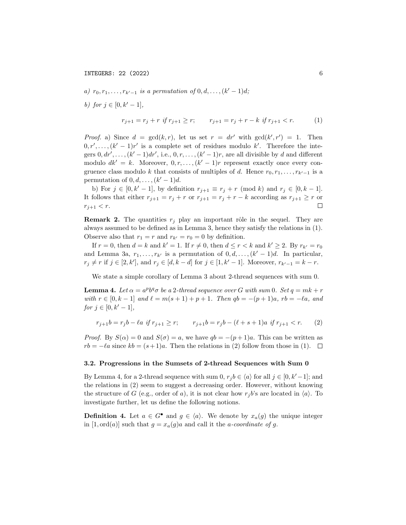a)  $r_0, r_1, \ldots, r_{k'-1}$  is a permutation of  $0, d, \ldots, (k'-1)d$ ;

b) for  $j \in [0, k' - 1]$ ,

$$
r_{j+1} = r_j + r \text{ if } r_{j+1} \ge r; \qquad r_{j+1} = r_j + r - k \text{ if } r_{j+1} < r. \tag{1}
$$

*Proof.* a) Since  $d = \gcd(k, r)$ , let us set  $r = dr'$  with  $\gcd(k', r') = 1$ . Then  $0, r', \ldots, (k'-1)r'$  is a complete set of residues modulo k'. Therefore the integers  $0, dr', \ldots, (k'-1)dr'$ , i.e.,  $0, r, \ldots, (k'-1)r$ , are all divisible by d and different modulo  $dk' = k$ . Moreover,  $0, r, \ldots, (k'-1)r$  represent exactly once every congruence class modulo k that consists of multiples of d. Hence  $r_0, r_1, \ldots, r_{k'-1}$  is a permutation of  $0, d, \ldots, (k'-1)d$ .

b) For  $j \in [0, k' - 1]$ , by definition  $r_{j+1} \equiv r_j + r \pmod{k}$  and  $r_j \in [0, k - 1]$ . It follows that either  $r_{j+1} = r_j + r$  or  $r_{j+1} = r_j + r - k$  according as  $r_{j+1} \geq r$  or  $r_{j+1} < r$ .  $\Box$ 

**Remark 2.** The quantities  $r_j$  play an important rôle in the sequel. They are always assumed to be defined as in Lemma 3, hence they satisfy the relations in (1). Observe also that  $r_1 = r$  and  $r_{k'} = r_0 = 0$  by definition.

If  $r = 0$ , then  $d = k$  and  $k' = 1$ . If  $r \neq 0$ , then  $d \leq r < k$  and  $k' \geq 2$ . By  $r_{k'} = r_0$ and Lemma 3a,  $r_1, \ldots, r_{k'}$  is a permutation of  $0, d, \ldots, (k'-1)d$ . In particular,  $r_j \neq r$  if  $j \in [2, k'],$  and  $r_j \in [d, k-d]$  for  $j \in [1, k'-1]$ . Moreover,  $r_{k'-1} = k - r$ .

We state a simple corollary of Lemma 3 about 2-thread sequences with sum 0.

**Lemma 4.** Let  $\alpha = a^p b^q \sigma$  be a 2-thread sequence over G with sum 0. Set  $q = mk + r$ with  $r \in [0, k-1]$  and  $\ell = m(s + 1) + p + 1$ . Then  $qb = -(p + 1)a$ ,  $rb = -\ell a$ , and for  $j \in [0, k' - 1]$ ,

$$
r_{j+1}b = r_jb - \ell a \text{ if } r_{j+1} \ge r; \qquad r_{j+1}b = r_jb - (\ell + s + 1)a \text{ if } r_{j+1} < r. \tag{2}
$$

*Proof.* By  $S(\alpha) = 0$  and  $S(\sigma) = a$ , we have  $ab = -(p+1)a$ . This can be written as  $rb = -\ell a$  since  $kb = (s + 1)a$ . Then the relations in (2) follow from those in (1).  $\Box$ 

#### 3.2. Progressions in the Sumsets of 2-thread Sequences with Sum 0

By Lemma 4, for a 2-thread sequence with sum 0,  $r_j b \in \langle a \rangle$  for all  $j \in [0, k'-1]$ ; and the relations in (2) seem to suggest a decreasing order. However, without knowing the structure of G (e.g., order of a), it is not clear how  $r_j b$ 's are located in  $\langle a \rangle$ . To investigate further, let us define the following notions.

**Definition 4.** Let  $a \in G^{\bullet}$  and  $g \in \langle a \rangle$ . We denote by  $x_a(g)$  the unique integer in [1, ord(a)] such that  $g = x_a(g)a$  and call it the *a-coordinate of g*.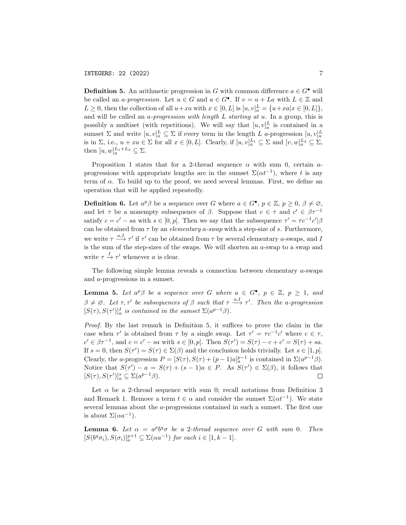**Definition 5.** An arithmetic progression in G with common difference  $a \in G^{\bullet}$  will be called an *a-progression*. Let  $u \in G$  and  $a \in G^{\bullet}$ . If  $v = u + La$  with  $L \in \mathbb{Z}$  and  $L \geq 0$ , then the collection of all  $u + xa$  with  $x \in [0, L]$  is  $[u, v]_a^L = \{u + xa | x \in [0, L]\},$ and will be called an  $a$ -progression with length  $L$  starting at  $u$ . In a group, this is possibly a multiset (with repetitions). We will say that  $[u, v]_a^L$  is contained in a sumset  $\Sigma$  and write  $[u, v]_a^L \subseteq \Sigma$  if every term in the length L a-progression  $[u, v]_a^L$ is in  $\Sigma$ , i.e.,  $u + xa \in \Sigma$  for all  $x \in [0, L]$ . Clearly, if  $[u, v]_a^{L_1} \subseteq \Sigma$  and  $[v, w]_a^{L_2} \subseteq \Sigma$ , then  $[u, w]_a^{L_1+L_2} \subseteq \Sigma$ .

Proposition 1 states that for a 2-thread sequence  $\alpha$  with sum 0, certain aprogressions with appropriate lengths are in the sumset  $\Sigma(\alpha t^{-1})$ , where t is any term of  $\alpha$ . To build up to the proof, we need several lemmas. First, we define an operation that will be applied repeatedly.

**Definition 6.** Let  $a^p\beta$  be a sequence over G where  $a \in G^{\bullet}$ ,  $p \in \mathbb{Z}$ ,  $p \ge 0$ ,  $\beta \ne \emptyset$ , and let  $\tau$  be a nonempty subsequence of  $\beta$ . Suppose that  $c \in \tau$  and  $c' \in \beta \tau^{-1}$ satisfy  $c = c' - sa$  with  $s \in [0, p]$ . Then we say that the subsequence  $\tau' = \tau c^{-1} c' | \beta$ can be obtained from  $\tau$  by an *elementary a-swap* with a step-size of s. Furthermore, we write  $\tau \stackrel{a, I}{\longrightarrow} \tau'$  if  $\tau'$  can be obtained from  $\tau$  by several elementary *a*-swaps, and *I* is the sum of the step-sizes of the swaps. We will shorten an  $a$ -swap to a swap and write  $\tau \stackrel{I}{\rightarrow} \tau'$  whenever a is clear.

The following simple lemma reveals a connection between elementary a-swaps and a-progressions in a sumset.

**Lemma 5.** Let  $a^p\beta$  be a sequence over G where  $a \in G^{\bullet}$ ,  $p \in \mathbb{Z}$ ,  $p \geq 1$ , and  $\beta \neq \emptyset$ . Let  $\tau, \tau'$  be subsequences of  $\beta$  such that  $\tau \stackrel{a, I}{\longrightarrow} \tau'$ . Then the a-progression  $[S(\tau), S(\tau')]_a^I$  is contained in the sumset  $\Sigma(a^{p-1}\beta)$ .

Proof. By the last remark in Definition 5, it suffices to prove the claim in the case when  $\tau'$  is obtained from  $\tau$  by a single swap. Let  $\tau' = \tau c^{-1} c'$  where  $c \in \tau$ ,  $c' \in \beta \tau^{-1}$ , and  $c = c' - sa$  with  $s \in [0, p]$ . Then  $S(\tau') = S(\tau) - c + c' = S(\tau) + sa$ . If  $s = 0$ , then  $S(\tau') = S(\tau) \in \Sigma(\beta)$  and the conclusion holds trivially. Let  $s \in [1, p]$ . Clearly, the a-progression  $P = [S(\tau), S(\tau) + (p-1)a]_a^{p-1}$  is contained in  $\Sigma(a^{p-1}\beta)$ . Notice that  $S(\tau') - a = S(\tau) + (s-1)a \in P$ . As  $S(\tau') \in \Sigma(\beta)$ , it follows that  $[S(\tau), S(\tau')]_a^s \subseteq \Sigma(a^{p-1}\beta).$  $\Box$ 

Let  $\alpha$  be a 2-thread sequence with sum 0; recall notations from Definition 3 and Remark 1. Remove a term  $t \in \alpha$  and consider the sumset  $\Sigma(\alpha t^{-1})$ . We state several lemmas about the a-progressions contained in such a sumset. The first one is about  $\Sigma(\alpha a^{-1})$ .

**Lemma 6.** Let  $\alpha = a^p b^q \sigma$  be a 2-thread sequence over G with sum 0. Then  $[S(b^q\sigma_i), S(\sigma_i)]_a^{p+1} \subseteq \Sigma(\alpha a^{-1})$  for each  $i \in [1, k-1]$ .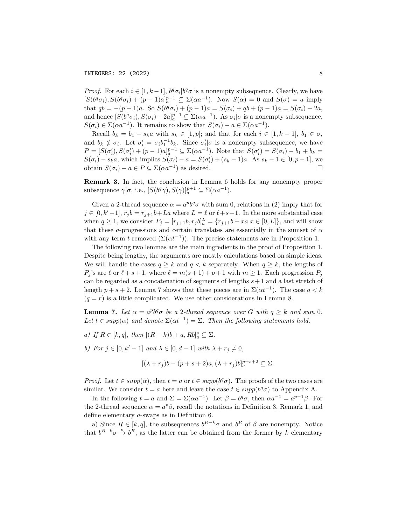*Proof.* For each  $i \in [1, k-1]$ ,  $b^q \sigma_i | b^q \sigma$  is a nonempty subsequence. Clearly, we have  $[S(b^q \sigma_i), S(b^q \sigma_i) + (p-1)a]_a^{p-1} \subseteq \Sigma(\alpha a^{-1}).$  Now  $S(\alpha) = 0$  and  $S(\sigma) = a$  imply that  $qb = -(p+1)a$ . So  $S(b^q \sigma_i) + (p-1)a = S(\sigma_i) + qb + (p-1)a = S(\sigma_i) - 2a$ , and hence  $[S(b^q \sigma_i), S(\sigma_i) - 2a]_a^{p-1} \subseteq \Sigma(\alpha a^{-1})$ . As  $\sigma_i | \sigma$  is a nonempty subsequence,  $S(\sigma_i) \in \Sigma(\alpha a^{-1})$ . It remains to show that  $S(\sigma_i) - a \in \Sigma(\alpha a^{-1})$ .

Recall  $b_k = b_1 - s_k a$  with  $s_k \in [1, p]$ ; and that for each  $i \in [1, k-1]$ ,  $b_1 \in \sigma_i$ and  $b_k \notin \sigma_i$ . Let  $\sigma'_i = \sigma_i b_1^{-1} b_k$ . Since  $\sigma'_i | \sigma$  is a nonempty subsequence, we have  $P = [S(\sigma'_i), S(\sigma'_i) + (p-1)a]_a^{p-1} \subseteq \Sigma(\alpha a^{-1}).$  Note that  $S(\sigma'_i) = S(\sigma_i) - b_1 + b_k =$  $S(\sigma_i) - s_k a$ , which implies  $S(\sigma_i) - a = S(\sigma'_i) + (s_k - 1)a$ . As  $s_k - 1 \in [0, p - 1]$ , we obtain  $S(\sigma_i) - a \in P \subseteq \Sigma(\alpha a^{-1})$  as desired.  $\Box$ 

Remark 3. In fact, the conclusion in Lemma 6 holds for any nonempty proper subsequence  $\gamma | \sigma$ , i.e.,  $[S(b^q \gamma), S(\gamma)]_a^{p+1} \subseteq \Sigma(\alpha a^{-1}).$ 

Given a 2-thread sequence  $\alpha = a^p b^q \sigma$  with sum 0, relations in (2) imply that for  $j \in [0, k'-1], r_j b = r_{j+1}b+La$  where  $L = \ell$  or  $\ell+s+1$ . In the more substantial case when  $q \ge 1$ , we consider  $P_j = [r_{j+1}b, r_j b]_a^L = \{r_{j+1}b + xa | x \in [0, L] \}$ , and will show that these a-progressions and certain translates are essentially in the sumset of  $\alpha$ with any term t removed  $(\Sigma(\alpha t^{-1}))$ . The precise statements are in Proposition 1.

The following two lemmas are the main ingredients in the proof of Proposition 1. Despite being lengthy, the arguments are mostly calculations based on simple ideas. We will handle the cases  $q \geq k$  and  $q < k$  separately. When  $q \geq k$ , the lengths of  $P_i$ 's are  $\ell$  or  $\ell + s + 1$ , where  $\ell = m(s + 1) + p + 1$  with  $m \ge 1$ . Each progression  $P_i$ can be regarded as a concatenation of segments of lengths  $s+1$  and a last stretch of length  $p + s + 2$ . Lemma 7 shows that these pieces are in  $\Sigma(\alpha t^{-1})$ . The case  $q < k$  $(q = r)$  is a little complicated. We use other considerations in Lemma 8.

**Lemma 7.** Let  $\alpha = a^p b^q \sigma$  be a 2-thread sequence over G with  $q \geq k$  and sum 0. Let  $t \in supp(\alpha)$  and denote  $\Sigma(\alpha t^{-1}) = \Sigma$ . Then the following statements hold.

a) If  $R \in [k, q]$ , then  $[(R - k)b + a, Rb]_a^s \subseteq \Sigma$ .

b) For  $j \in [0, k' - 1]$  and  $\lambda \in [0, d - 1]$  with  $\lambda + r_j \neq 0$ ,

$$
[(\lambda + r_j)b - (p+s+2)a, (\lambda + r_j)b]_a^{p+s+2} \subseteq \Sigma.
$$

*Proof.* Let  $t \in supp(\alpha)$ , then  $t = a$  or  $t \in supp(b^q\sigma)$ . The proofs of the two cases are similar. We consider  $t = a$  here and leave the case  $t \in supp(b^q\sigma)$  to Appendix A.

In the following  $t = a$  and  $\Sigma = \Sigma(\alpha a^{-1})$ . Let  $\beta = b^q \sigma$ , then  $\alpha a^{-1} = a^{p-1} \beta$ . For the 2-thread sequence  $\alpha = a^p \beta$ , recall the notations in Definition 3, Remark 1, and define elementary a-swaps as in Definition 6.

a) Since  $R \in [k, q]$ , the subsequences  $b^{R-k}\sigma$  and  $b^R$  of  $\beta$  are nonempty. Notice that  $b^{R-k}\sigma \stackrel{s}{\to} b^R$ , as the latter can be obtained from the former by k elementary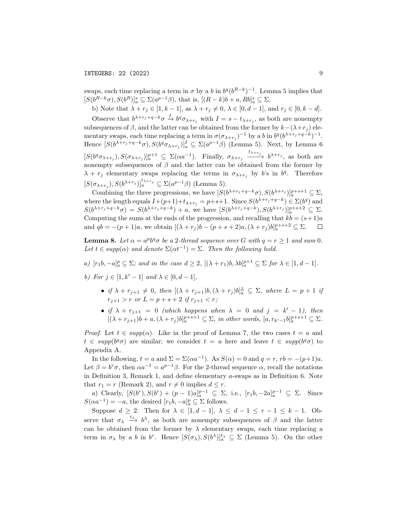swaps, each time replacing a term in  $\sigma$  by a b in  $b^q(b^{R-k})^{-1}$ . Lemma 5 implies that  $[S(b^{R-k}\sigma), S(b^R)]_a^s \subseteq \Sigma(a^{p-1}\beta)$ , that is,  $[(R-k)b + a, Rb]_a^s \subseteq \Sigma$ .

b) Note that  $\lambda + r_j \in [1, k - 1]$ , as  $\lambda + r_j \neq 0$ ,  $\lambda \in [0, d - 1]$ , and  $r_j \in [0, k - d]$ . Observe that  $b^{\lambda+r_j+q-k}\sigma \stackrel{I}{\to} b^q\sigma_{\lambda+r_j}$  with  $I = s-t_{\lambda+r_j}$ , as both are nonempty

subsequences of  $\beta$ , and the latter can be obtained from the former by  $k-(\lambda+r_i)$  elementary swaps, each time replacing a term in  $\sigma(\sigma_{\lambda+r_j})^{-1}$  by a b in  $b^q(b^{\lambda+r_j+q-k})^{-1}$ . Hence  $[S(b^{\lambda+r_j+q-k}\sigma), S(b^q\sigma_{\lambda+r_j})]_a^I \subseteq \Sigma(a^{p-1}\beta)$  (Lemma 5). Next, by Lemma 6  $[S(b^q \sigma_{\lambda+r_j}), S(\sigma_{\lambda+r_j})]_a^{p+1} \subseteq \Sigma(\alpha a^{-1}).$  Finally,  $\sigma_{\lambda+r_j} \xrightarrow{t_{\lambda+r_j}} b^{\lambda+r_j}$ , as both are nonempty subsequences of  $\beta$  and the latter can be obtained from the former by  $\lambda + r_j$  elementary swaps replacing the terms in  $\sigma_{\lambda+r_j}$  by b's in b<sup>q</sup>. Therefore  $[S(\sigma_{\lambda+r_j}), S(b^{\lambda+r_j})]_a^{t_{\lambda+r_j}} \subseteq \Sigma(a^{p-1}\beta)$  (Lemma 5).

Combining the three progressions, we have  $[S(b^{\lambda+r_j+q-k}\sigma), S(b^{\lambda+r_j})]_a^{p+s+1} \subseteq \Sigma$ , where the length equals  $I+(p+1)+t_{\lambda+r_j} = p+s+1$ . Since  $S(b^{\lambda+r_j+q-k}) \in \Sigma(b^q)$  and  $S(b^{\lambda+r_j+q-k}\sigma) = S(b^{\lambda+r_j+q-k}) + a$ , we have  $[S(b^{\lambda+r_j+q-k}), S(b^{\lambda+r_j})]_a^{p+s+2} \subseteq \Sigma$ . Computing the sums at the ends of the progression, and recalling that  $kb = (s+1)a$ and  $qb = -(p+1)a$ , we obtain  $[(\lambda + r_j)b - (p+s+2)a, (\lambda + r_j)b]_a^{p+s+2} \subseteq \Sigma$ .  $\Box$ 

**Lemma 8.** Let  $\alpha = a^p b^q \sigma$  be a 2-thread sequence over G with  $q = r \ge 1$  and sum 0. Let  $t \in supp(\alpha)$  and denote  $\Sigma(\alpha t^{-1}) = \Sigma$ . Then the following hold.

- a)  $[r_1b, -a]_a^p \subseteq \Sigma$ ; and in the case  $d \geq 2$ ,  $[(\lambda + r_1)b, \lambda b]_a^{p+1} \subseteq \Sigma$  for  $\lambda \in [1, d-1]$ .
- b) For  $j \in [1, k' 1]$  and  $\lambda \in [0, d 1]$ ,
	- if  $\lambda + r_{j+1} \neq 0$ , then  $[(\lambda + r_{j+1})b, (\lambda + r_j)b]_a^L \subseteq \Sigma$ , where  $L = p + 1$  if  $r_{i+1} > r$  or  $L = p + s + 2$  if  $r_{i+1} < r$ ;
	- if  $\lambda + r_{j+1} = 0$  (which happens when  $\lambda = 0$  and  $j = k' 1$ ), then  $[(\lambda + r_{j+1})b + a, (\lambda + r_j)b]_a^{p+s+1} \subseteq \Sigma$ , in other words,  $[a, r_{k'-1}b]_a^{p+s+1} \subseteq \Sigma$ .

*Proof.* Let  $t \in \text{supp}(\alpha)$ . Like in the proof of Lemma 7, the two cases  $t = a$  and  $t \in supp(b^q\sigma)$  are similar; we consider  $t = a$  here and leave  $t \in supp(b^q\sigma)$  to Appendix A.

In the following,  $t = a$  and  $\Sigma = \Sigma(\alpha a^{-1})$ . As  $S(\alpha) = 0$  and  $q = r$ ,  $rb = -(p+1)a$ . Let  $\beta = b^r \sigma$ , then  $\alpha a^{-1} = a^{p-1} \beta$ . For the 2-thread sequence  $\alpha$ , recall the notations in Definition 3, Remark 1, and define elementary a-swaps as in Definition 6. Note that  $r_1 = r$  (Remark 2), and  $r \neq 0$  implies  $d \leq r$ .

a) Clearly,  $[S(b^r), S(b^r) + (p-1)a]_a^{p-1} \subseteq \Sigma$ , i.e.,  $[r_1b, -2a]_a^{p-1} \subseteq \Sigma$ . Since  $S(\alpha a^{-1}) = -a$ , the desired  $[r_1b, -a]_a^p \subseteq \Sigma$  follows.

Suppose  $d \geq 2$ . Then for  $\lambda \in [1, d-1], \lambda \leq d-1 \leq r-1 \leq k-1$ . Observe that  $\sigma_{\lambda} \stackrel{t_{\lambda}}{\longrightarrow} b^{\lambda}$ , as both are nonempty subsequences of  $\beta$  and the latter can be obtained from the former by  $\lambda$  elementary swaps, each time replacing a term in  $\sigma_{\lambda}$  by a b in b<sup>r</sup>. Hence  $[S(\sigma_{\lambda}), S(b^{\lambda})]_{a}^{t_{\lambda}} \subseteq \Sigma$  (Lemma 5). On the other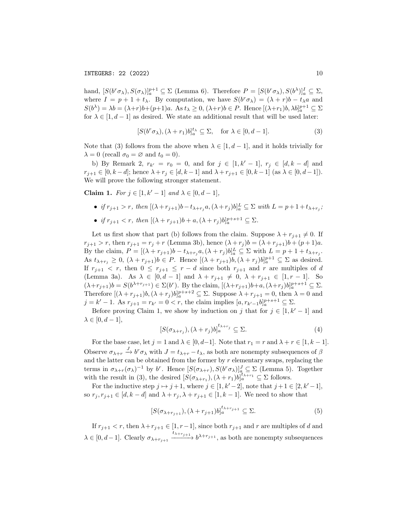hand,  $[S(b^r \sigma_\lambda), S(\sigma_\lambda)]_a^{p+1} \subseteq \Sigma$  (Lemma 6). Therefore  $P = [S(b^r \sigma_\lambda), S(b^\lambda)]_a^I \subseteq \Sigma$ , where  $I = p + 1 + t_{\lambda}$ . By computation, we have  $S(b^r \sigma_{\lambda}) = (\lambda + r)b - t_{\lambda}a$  and  $S(b^{\lambda}) = \lambda b = (\lambda + r)b + (p+1)a$ . As  $t_{\lambda} \geq 0$ ,  $(\lambda + r)b \in P$ . Hence  $[(\lambda + r_1)b, \lambda b]_a^{p+1} \subseteq \Sigma$ for  $\lambda \in [1, d-1]$  as desired. We state an additional result that will be used later:

$$
[S(b^r \sigma_\lambda), (\lambda + r_1)b]_a^{t_\lambda} \subseteq \Sigma, \quad \text{for } \lambda \in [0, d - 1]. \tag{3}
$$

Note that (3) follows from the above when  $\lambda \in [1, d-1]$ , and it holds trivially for  $\lambda = 0$  (recall  $\sigma_0 = \varnothing$  and  $t_0 = 0$ ).

b) By Remark 2,  $r_{k'} = r_0 = 0$ , and for  $j \in [1, k'-1]$ ,  $r_j \in [d, k-d]$  and  $r_{i+1} \in [0, k-d]$ ; hence  $\lambda + r_j \in [d, k-1]$  and  $\lambda + r_{j+1} \in [0, k-1]$  (as  $\lambda \in [0, d-1]$ ). We will prove the following stronger statement.

Claim 1. For  $j \in [1, k' - 1]$  and  $\lambda \in [0, d - 1]$ ,

- if  $r_{j+1} > r$ , then  $[(\lambda + r_{j+1})b t_{\lambda+r_j}a, (\lambda + r_j)b]_a^L \subseteq \Sigma$  with  $L = p + 1 + t_{\lambda+r_j}$ ;
- if  $r_{j+1} < r$ , then  $[(\lambda + r_{j+1})b + a, (\lambda + r_j)b]_a^{p+s+1} \subseteq \Sigma$ .

Let us first show that part (b) follows from the claim. Suppose  $\lambda + r_{j+1} \neq 0$ . If  $r_{j+1} > r$ , then  $r_{j+1} = r_j + r$  (Lemma 3b), hence  $(\lambda + r_j)b = (\lambda + r_{j+1})b + (p+1)a$ . By the claim,  $P = [(\lambda + r_{j+1})b - t_{\lambda+r_j}a, (\lambda + r_j)b]_a^L \subseteq \Sigma$  with  $L = p + 1 + t_{\lambda+r_j}$ . As  $t_{\lambda+r_j} \geq 0$ ,  $(\lambda+r_{j+1})b \in P$ . Hence  $[(\lambda+r_{j+1})b, (\lambda+r_j)b]_a^{p+1} \subseteq \Sigma$  as desired. If  $r_{j+1} < r$ , then  $0 \leq r_{j+1} \leq r - d$  since both  $r_{j+1}$  and r are multiples of d (Lemma 3a). As  $\lambda \in [0, d-1]$  and  $\lambda + r_{j+1} \neq 0$ ,  $\lambda + r_{j+1} \in [1, r-1]$ . So  $(\lambda+r_{j+1})b=S(b^{\lambda+r_{j+1}})\in\Sigma(b^r)$ . By the claim,  $[(\lambda+r_{j+1})b+a,(\lambda+r_j)b]_a^{p+s+1}\subseteq\Sigma$ . Therefore  $[(\lambda + r_{j+1})b, (\lambda + r_j)b]_a^{p+s+2} \subseteq \Sigma$ . Suppose  $\lambda + r_{j+1} = 0$ , then  $\lambda = 0$  and  $j = k' - 1$ . As  $r_{j+1} = r_{k'} = 0 < r$ , the claim implies  $[a, r_{k'-1}b]_a^{p+s+1} \subseteq \Sigma$ .

Before proving Claim 1, we show by induction on j that for  $j \in [1, k' - 1]$  and  $\lambda \in [0, d-1],$ 

$$
[S(\sigma_{\lambda+r_j}), (\lambda+r_j)b]_a^{t_{\lambda+r_j}} \subseteq \Sigma.
$$
 (4)

For the base case, let  $j = 1$  and  $\lambda \in [0, d-1]$ . Note that  $r_1 = r$  and  $\lambda + r \in [1, k-1]$ . Observe  $\sigma_{\lambda+r} \stackrel{J}{\to} b^r \sigma_{\lambda}$  with  $J = t_{\lambda+r} - t_{\lambda}$ , as both are nonempty subsequences of  $\beta$ and the latter can be obtained from the former by  $r$  elementary swaps, replacing the terms in  $\sigma_{\lambda+r}(\sigma_{\lambda})^{-1}$  by  $b^r$ . Hence  $[S(\sigma_{\lambda+r}), S(b^r \sigma_{\lambda})]_q^J \subseteq \Sigma$  (Lemma 5). Together with the result in (3), the desired  $[S(\sigma_{\lambda+r_1}), (\lambda+r_1)b]_a^{t_{\lambda+r_1}} \subseteq \Sigma$  follows.

For the inductive step  $j \mapsto j+1$ , where  $j \in [1, k'-2]$ , note that  $j+1 \in [2, k'-1]$ , so  $r_j, r_{j+1} \in [d, k-d]$  and  $\lambda + r_j, \lambda + r_{j+1} \in [1, k-1]$ . We need to show that

$$
[S(\sigma_{\lambda+r_{j+1}}), (\lambda+r_{j+1})b]_a^{t_{\lambda+r_{j+1}}} \subseteq \Sigma.
$$
 (5)

If  $r_{i+1} < r$ , then  $\lambda + r_{i+1} \in [1, r-1]$ , since both  $r_{i+1}$  and r are multiples of d and  $\lambda \in [0, d-1]$ . Clearly  $\sigma_{\lambda+r_{j+1}} \xrightarrow{t_{\lambda+r_{j+1}}} b^{\lambda+r_{j+1}}$ , as both are nonempty subsequences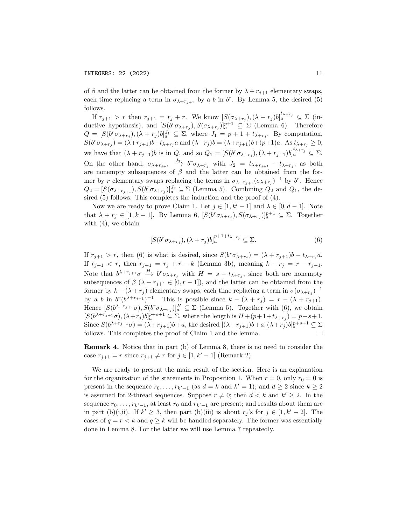### INTEGERS: 22 (2022) 11

of  $\beta$  and the latter can be obtained from the former by  $\lambda + r_{j+1}$  elementary swaps, each time replacing a term in  $\sigma_{\lambda+r_{j+1}}$  by a b in b<sup>r</sup>. By Lemma 5, the desired (5) follows.

If  $r_{j+1} > r$  then  $r_{j+1} = r_j + r$ . We know  $[S(\sigma_{\lambda+r_j}), (\lambda+r_j)b]_a^{t_{\lambda+r_j}} \subseteq \Sigma$  (inductive hypothesis), and  $[S(b^r \sigma_{\lambda+r_j}), S(\sigma_{\lambda+r_j})]_a^{p+1} \subseteq \Sigma$  (Lemma 6). Therefore  $Q = [S(b^r \sigma_{\lambda+r_j}), (\lambda+r_j)b]_a^{J_1} \subseteq \Sigma$ , where  $J_1 = p+1+t_{\lambda+r_j}$ . By computation,  $S(b^{r}\sigma_{\lambda+r_j}) = (\lambda+r_{j+1})b - t_{\lambda+r_j}a$  and  $(\lambda+r_j)b = (\lambda+r_{j+1})b + (p+1)a$ . As  $t_{\lambda+r_j} \ge 0$ , we have that  $(\lambda + r_{j+1})b$  is in Q, and so  $Q_1 = [S(b^r \sigma_{\lambda+r_j}), (\lambda + r_{j+1})b]_a^{t_{\lambda+r_j}} \subseteq \Sigma$ . On the other hand,  $\sigma_{\lambda+r_{j+1}} \stackrel{J_2}{\longrightarrow} b^r \sigma_{\lambda+r_j}$  with  $J_2 = t_{\lambda+r_{j+1}} - t_{\lambda+r_j}$ , as both are nonempty subsequences of  $\beta$  and the latter can be obtained from the former by r elementary swaps replacing the terms in  $\sigma_{\lambda+r_{j+1}}(\sigma_{\lambda+r_j})^{-1}$  by  $b^r$ . Hence  $Q_2 = [S(\sigma_{\lambda+r_{j+1}}), S(b^r \sigma_{\lambda+r_j})]_a^{J_2} \subseteq \Sigma$  (Lemma 5). Combining  $Q_2$  and  $Q_1$ , the desired  $(5)$  follows. This completes the induction and the proof of  $(4)$ .

Now we are ready to prove Claim 1. Let  $j \in [1, k' - 1]$  and  $\lambda \in [0, d - 1]$ . Note that  $\lambda + r_j \in [1, k-1]$ . By Lemma 6,  $[S(b^r \sigma_{\lambda+r_j}), S(\sigma_{\lambda+r_j})]_a^{p+1} \subseteq \Sigma$ . Together with  $(4)$ , we obtain

$$
[S(b^r \sigma_{\lambda + r_j}), (\lambda + r_j)b]_a^{p+1+t_{\lambda + r_j}} \subseteq \Sigma.
$$
 (6)

If  $r_{j+1} > r$ , then (6) is what is desired, since  $S(b^r \sigma_{\lambda+r_j}) = (\lambda + r_{j+1})b - t_{\lambda+r_j}a$ . If  $r_{j+1} < r$ , then  $r_{j+1} = r_j + r - k$  (Lemma 3b), meaning  $k - r_j = r - r_{j+1}$ . Note that  $b^{\lambda+r_{j+1}}\sigma \stackrel{H}{\to} b^r\sigma_{\lambda+r_j}$  with  $H = s - t_{\lambda+r_j}$ , since both are nonempty subsequences of  $\beta$  ( $\lambda + r_{j+1} \in [0, r-1]$ ), and the latter can be obtained from the former by  $k - (\lambda + r_j)$  elementary swaps, each time replacing a term in  $\sigma(\sigma_{\lambda+r_j})^{-1}$ by a b in  $b^r(b^{\lambda+r_{j+1}})^{-1}$ . This is possible since  $k - (\lambda + r_j) = r - (\lambda + r_{j+1})$ . Hence  $[S(b^{\lambda+r_{j+1}}\sigma), S(b^r\sigma_{\lambda+r_j})]_a^H \subseteq \Sigma$  (Lemma 5). Together with (6), we obtain  $[S(b^{\lambda+r_{j+1}}\sigma),(\lambda+r_j)b]_a^{p+s+1} \subseteq \Sigma$ , where the length is  $H+(p+1+t_{\lambda+r_j})=p+s+1$ . Since  $S(b^{\lambda+r_{j+1}}\sigma) = (\lambda+r_{j+1})b+a$ , the desired  $[(\lambda+r_{j+1})b+a, (\lambda+r_j)b]_a^{p+s+1} \subseteq \Sigma$ follows. This completes the proof of Claim 1 and the lemma.  $\Box$ 

Remark 4. Notice that in part (b) of Lemma 8, there is no need to consider the case  $r_{j+1} = r$  since  $r_{j+1} \neq r$  for  $j \in [1, k'-1]$  (Remark 2).

We are ready to present the main result of the section. Here is an explanation for the organization of the statements in Proposition 1. When  $r = 0$ , only  $r_0 = 0$  is present in the sequence  $r_0, \ldots, r_{k'-1}$  (as  $d = k$  and  $k' = 1$ ); and  $d \ge 2$  since  $k \ge 2$ is assumed for 2-thread sequences. Suppose  $r \neq 0$ ; then  $d < k$  and  $k' \geq 2$ . In the sequence  $r_0, \ldots, r_{k'-1}$ , at least  $r_0$  and  $r_{k'-1}$  are present; and results about them are in part (b)(i,ii). If  $k' \geq 3$ , then part (b)(iii) is about  $r_j$ 's for  $j \in [1, k'-2]$ . The cases of  $q = r < k$  and  $q \geq k$  will be handled separately. The former was essentially done in Lemma 8. For the latter we will use Lemma 7 repeatedly.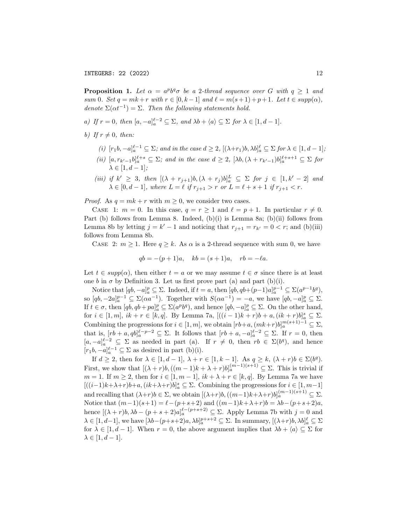INTEGERS: 22 (2022) 12

**Proposition 1.** Let  $\alpha = a^p b^q \sigma$  be a 2-thread sequence over G with  $q \ge 1$  and sum 0. Set  $q = mk + r$  with  $r \in [0, k-1]$  and  $\ell = m(s + 1) + p + 1$ . Let  $t \in supp(\alpha)$ , denote  $\Sigma(\alpha t^{-1}) = \Sigma$ . Then the following statements hold.

- a) If  $r = 0$ , then  $[a, -a]_a^{\ell-2} \subseteq \Sigma$ , and  $\lambda b + \langle a \rangle \subseteq \Sigma$  for  $\lambda \in [1, d-1]$ .
- b) If  $r \neq 0$ , then:
	- (i)  $[r_1b, -a]_a^{\ell-1} \subseteq \Sigma$ ; and in the case  $d \geq 2$ ,  $[(\lambda+r_1)b, \lambda b]_a^{\ell} \subseteq \Sigma$  for  $\lambda \in [1, d-1]$ ;
	- (ii)  $[a, r_{k'-1}b]_a^{\ell+s} \subseteq \Sigma$ ; and in the case  $d \geq 2$ ,  $[\lambda b, (\lambda + r_{k'-1})b]_a^{\ell+s+1} \subseteq \Sigma$  for  $\lambda \in [1, d-1];$
	- (iii) if  $k' \geq 3$ , then  $[(\lambda + r_{j+1})b, (\lambda + r_j)b]_a^L \subseteq \Sigma$  for  $j \in [1, k' 2]$  and  $\lambda \in [0, d-1],$  where  $L = \ell$  if  $r_{j+1} > r$  or  $L = \ell + s + 1$  if  $r_{j+1} < r$ .

*Proof.* As  $q = mk + r$  with  $m \geq 0$ , we consider two cases.

CASE 1:  $m = 0$ . In this case,  $q = r \ge 1$  and  $\ell = p + 1$ . In particular  $r \ne 0$ . Part (b) follows from Lemma 8. Indeed, (b)(i) is Lemma 8a; (b)(ii) follows from Lemma 8b by letting  $j = k' - 1$  and noticing that  $r_{j+1} = r_{k'} = 0 < r$ ; and (b)(iii) follows from Lemma 8b.

CASE 2:  $m \ge 1$ . Here  $q \ge k$ . As  $\alpha$  is a 2-thread sequence with sum 0, we have

$$
qb = -(p+1)a
$$
,  $kb = (s+1)a$ ,  $rb = -\ell a$ .

Let  $t \in supp(\alpha)$ , then either  $t = a$  or we may assume  $t \in \sigma$  since there is at least one b in  $\sigma$  by Definition 3. Let us first prove part (a) and part (b)(i).

Notice that  $[qb, -a]_a^p \subseteq \Sigma$ . Indeed, if  $t = a$ , then  $[qb, qb+(p-1)a]_a^{p-1} \subseteq \Sigma(a^{p-1}b^q)$ , so  $[qb, -2a]_a^{p-1} \subseteq \Sigma(\alpha a^{-1})$ . Together with  $S(\alpha a^{-1}) = -a$ , we have  $[qb, -a]_a^p \subseteq \Sigma$ . If  $t \in \sigma$ , then  $[qb, qb + pa]_a^p \subseteq \Sigma(a^p b^q)$ , and hence  $[qb, -a]_a^p \subseteq \Sigma$ . On the other hand, for *i* ∈ [1, *m*], *ik* + *r* ∈ [*k*, *q*]. By Lemma 7a, [((*i* − 1)*k* + *r*)*b* + *a*, (*ik* + *r*)*b*]<sup>*s*</sup><sub>*a*</sub> ⊆ ∑. Combining the progressions for  $i \in [1, m]$ , we obtain  $[rb+a, (mk+r)b]_a^{m(s+1)-1} \subseteq \Sigma$ , that is,  $[rb+a, qb]_a^{\ell-p-2} \subseteq \Sigma$ . It follows that  $[rb+a, -a]_a^{\ell-2} \subseteq \Sigma$ . If  $r=0$ , then [a,  $-a]_a^{\ell-2}$  ⊆  $\Sigma$  as needed in part (a). If  $r \neq 0$ , then  $rb \in \Sigma(b^q)$ , and hence  $[r_1b, -a]_a^{\ell-1} \subseteq \Sigma$  as desired in part (b)(i).

If  $d \geq 2$ , then for  $\lambda \in [1, d-1], \lambda + r \in [1, k-1].$  As  $q \geq k, (\lambda + r)b \in \Sigma(b^q)$ . First, we show that  $[(\lambda + r)b, ((m - 1)k + \lambda + r)b]_a^{(m-1)(s+1)} \subseteq \Sigma$ . This is trivial if  $m = 1$ . If  $m \ge 2$ , then for  $i \in [1, m - 1]$ ,  $ik + \lambda + r \in [k, q]$ . By Lemma 7a we have [ $((i-1)k+\lambda+r)b+a, (ik+\lambda+r)b]_a^s \subseteq \Sigma$ . Combining the progressions for  $i \in [1, m-1]$ and recalling that  $(\lambda+r)b \in \Sigma$ , we obtain  $[(\lambda+r)b, ((m-1)k+\lambda+r)b]_a^{(m-1)(s+1)} \subseteq \Sigma$ . Notice that  $(m-1)(s+1) = \ell - (p+s+2)$  and  $((m-1)k+\lambda+r)b = \lambda b - (p+s+2)a$ , hence  $[(\lambda + r)b, \lambda b - (p + s + 2)a]_a^{\ell - (p + s + 2)} \subseteq \Sigma$ . Apply Lemma 7b with  $j = 0$  and  $\lambda \in [1, d-1]$ , we have  $[\lambda b - (p+s+2)a, \lambda b]_a^{p+s+2} \subseteq \Sigma$ . In summary,  $[(\lambda+r)b, \lambda b]_a^{\ell} \subseteq \Sigma$ for  $\lambda \in [1, d-1]$ . When  $r = 0$ , the above argument implies that  $\lambda b + \langle a \rangle \subseteq \Sigma$  for  $\lambda \in [1, d-1].$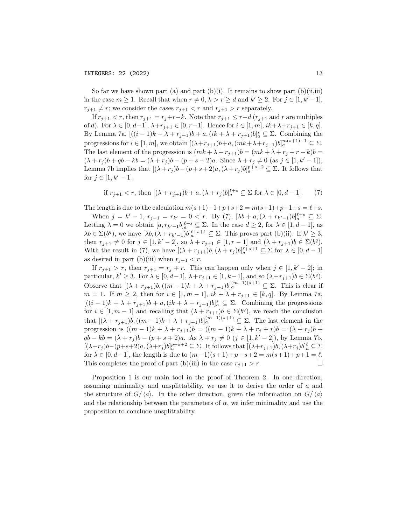So far we have shown part (a) and part (b)(i). It remains to show part (b)(ii,iii) in the case  $m \geq 1$ . Recall that when  $r \neq 0, k > r \geq d$  and  $k' \geq 2$ . For  $j \in [1, k'-1]$ ,  $r_{j+1} \neq r$ ; we consider the cases  $r_{j+1} < r$  and  $r_{j+1} > r$  separately.

If  $r_{j+1} < r$ , then  $r_{j+1} = r_j + r - k$ . Note that  $r_{j+1} \leq r - d$  ( $r_{j+1}$  and r are multiples of d). For  $\lambda \in [0, d-1]$ ,  $\lambda + r_{j+1} \in [0, r-1]$ . Hence for  $i \in [1, m]$ ,  $ik + \lambda + r_{j+1} \in [k, q]$ . By Lemma 7a,  $[((i-1)k + \lambda + r_{j+1})b + a, (ik + \lambda + r_{j+1})b]_a^s \subseteq \Sigma$ . Combining the progressions for  $i \in [1, m]$ , we obtain  $[(\lambda + r_{j+1})b + a, (mk + \lambda + r_{j+1})b]_a^{m(s+1)-1} \subseteq \Sigma$ . The last element of the progression is  $(mk + \lambda + r_{j+1})b = (mk + \lambda + r_j + r - k)b$  $(\lambda + r_j)b + qb - kb = (\lambda + r_j)b - (p + s + 2)a$ . Since  $\lambda + r_j \neq 0$  (as  $j \in [1, k' - 1]$ ), Lemma 7b implies that  $[(\lambda + r_j)b - (p+s+2)a, (\lambda + r_j)b]_a^{p+s+2} \subseteq \Sigma$ . It follows that for  $j \in [1, k' - 1]$ ,

if 
$$
r_{j+1} < r
$$
, then  $[(\lambda + r_{j+1})b + a, (\lambda + r_j)b]_a^{\ell+s} \subseteq \Sigma$  for  $\lambda \in [0, d-1]$ . (7)

The length is due to the calculation  $m(s+1)-1+p+s+2 = m(s+1)+p+1+s = \ell+s$ .

When  $j = k' - 1$ ,  $r_{j+1} = r_{k'} = 0 < r$ . By (7),  $[\lambda b + a, (\lambda + r_{k'-1})b]_a^{\ell+s} \subseteq \Sigma$ . Letting  $\lambda = 0$  we obtain  $[a, r_{k'-1}b]_a^{\ell+s} \subseteq \Sigma$ . In the case  $d \geq 2$ , for  $\lambda \in [1, d-1]$ , as  $\lambda b \in \Sigma(b^q)$ , we have  $[\lambda b, (\lambda + r_{k'-1})b]_a^{\ell+s+1} \subseteq \Sigma$ . This proves part (b)(ii). If  $k' \geq 3$ , then  $r_{j+1} \neq 0$  for  $j \in [1, k'-2]$ , so  $\lambda + r_{j+1} \in [1, r-1]$  and  $(\lambda + r_{j+1})b \in \Sigma(b^q)$ . With the result in (7), we have  $[(\lambda + r_{j+1})b, (\lambda + r_j)b]_a^{\ell+s+1} \subseteq \Sigma$  for  $\lambda \in [0, d-1]$ as desired in part (b)(iii) when  $r_{j+1} < r$ .

If  $r_{j+1} > r$ , then  $r_{j+1} = r_j + r$ . This can happen only when  $j \in [1, k' - 2]$ ; in particular,  $k' \geq 3$ . For  $\lambda \in [0, d-1]$ ,  $\lambda + r_{j+1} \in [1, k-1]$ , and so  $(\lambda + r_{j+1})b \in \Sigma(b^q)$ . Observe that  $[(\lambda + r_{j+1})b, ((m-1)k + \lambda + r_{j+1})b]_a^{(m-1)(s+1)} \subseteq \Sigma$ . This is clear if  $m = 1$ . If  $m ≥ 2$ , then for  $i ∈ [1, m - 1]$ ,  $ik + \lambda + r_{j+1} ∈ [k, q]$ . By Lemma 7a,  $[((i-1)k + \lambda + r_{j+1})b + a, (ik + \lambda + r_{j+1})b]_a^s \subseteq \Sigma$ . Combining the progressions for  $i \in [1, m-1]$  and recalling that  $(\lambda + r_{j+1})b \in \Sigma(b^q)$ , we reach the conclusion that  $[(\lambda + r_{j+1})b, ((m-1)k + \lambda + r_{j+1})b]_a^{(m-1)(s+1)} \subseteq \Sigma$ . The last element in the progression is  $((m - 1)k + \lambda + r_{j+1})b = ((m - 1)k + \lambda + r_j + r)b = (\lambda + r_j)b +$  $qb - kb = (\lambda + r_j)b - (p + s + 2)a$ . As  $\lambda + r_j \neq 0$   $(j \in [1, k' - 2])$ , by Lemma 7b,  $[(\lambda+r_j)b-(p+s+2)a,(\lambda+r_j)b]_a^{p+s+2}\subseteq\Sigma$ . It follows that  $[(\lambda+r_{j+1})b,(\lambda+r_j)b]_a^{\ell}\subseteq\Sigma$ for  $\lambda \in [0, d-1]$ , the length is due to  $(m-1)(s+1)+p+s+2 = m(s+1)+p+1 = \ell$ . This completes the proof of part (b)(iii) in the case  $r_{j+1} > r$ .  $\Box$ 

Proposition 1 is our main tool in the proof of Theorem 2. In one direction, assuming minimality and unsplittability, we use it to derive the order of a and the structure of  $G/\langle a \rangle$ . In the other direction, given the information on  $G/\langle a \rangle$ and the relationship between the parameters of  $\alpha$ , we infer minimality and use the proposition to conclude unsplittability.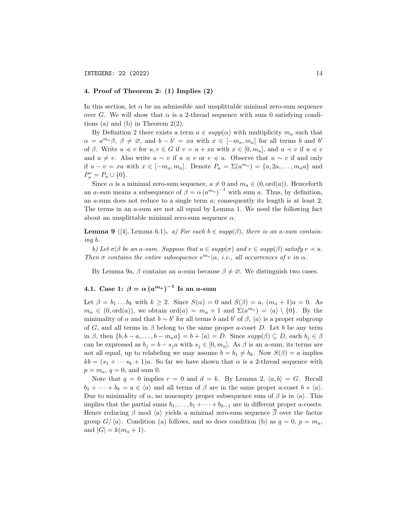## 4. Proof of Theorem 2: (1) Implies (2)

In this section, let  $\alpha$  be an admissible and unsplittable minimal zero-sum sequence over G. We will show that  $\alpha$  is a 2-thread sequence with sum 0 satisfying conditions (a) and (b) in Theorem 2(2).

By Definition 2 there exists a term  $a \in supp(\alpha)$  with multiplicity  $m_a$  such that  $\alpha = a^{m_a}\beta, \beta \neq \emptyset$ , and  $b - b' = xa$  with  $x \in [-m_a, m_a]$  for all terms b and b' of β. Write  $u \preccurlyeq v$  for  $u, v \in G$  if  $v = u + xa$  with  $x \in [0, m_a]$ , and  $u \preccurlyeq v$  if  $u \preccurlyeq v$ and  $u \neq v$ . Also write  $u \sim v$  if  $u \preccurlyeq v$  or  $v \preccurlyeq u$ . Observe that  $u \sim v$  if and only if  $u - v = xa$  with  $x \in [-m_a, m_a]$ . Denote  $P_a = \Sigma(a^{m_a}) = \{a, 2a, \ldots, m_a a\}$  and  $P_a^* = P_a \cup \{0\}.$ 

Since  $\alpha$  is a minimal zero-sum sequence,  $a \neq 0$  and  $m_a \in (0, \text{ord}(a))$ . Henceforth an a-sum means a subsequence of  $\beta = \alpha (a^{m_a})^{-1}$  with sum a. Thus, by definition, an  $a$ -sum does not reduce to a single term  $a$ ; consequently its length is at least 2. The terms in an a-sum are not all equal by Lemma 1. We need the following fact about an unsplittable minimal zero-sum sequence  $\alpha$ .

**Lemma 9** ([4], Lemma 6.1). a) For each  $b \in supp(\beta)$ , there is an a-sum containing b.

b) Let  $\sigma|\beta$  be an a-sum. Suppose that  $u \in supp(\sigma)$  and  $v \in supp(\beta)$  satisfy  $v \prec u$ . Then  $\sigma$  contains the entire subsequence  $v^{m_v}|\alpha$ , i.e., all occurrences of v in  $\alpha$ .

By Lemma 9a, β contains an a-sum because  $\beta \neq \emptyset$ . We distinguish two cases.

# 4.1. Case 1:  $\beta = \alpha (a^{m_a})^{-1}$  Is an *a*-sum

Let  $\beta = b_1 \dots b_k$  with  $k \ge 2$ . Since  $S(\alpha) = 0$  and  $S(\beta) = a$ ,  $(m_a + 1)a = 0$ . As  $m_a \in (0, \text{ord}(a)),$  we obtain  $\text{ord}(a) = m_a + 1$  and  $\Sigma(a^{m_a}) = \langle a \rangle \setminus \{0\}.$  By the minimality of  $\alpha$  and that  $b \sim b'$  for all terms b and b' of  $\beta$ ,  $\langle a \rangle$  is a proper subgroup of G, and all terms in  $\beta$  belong to the same proper a-coset D. Let b be any term in  $\beta$ , then  $\{b, b - a, \ldots, b - m_a a\} = b + \langle a \rangle = D$ . Since  $supp(\beta) \subseteq D$ , each  $b_i \in \beta$ can be expressed as  $b_j = b - s_j a$  with  $s_j \in [0, m_a]$ . As  $\beta$  is an a-sum, its terms are not all equal, up to relabeling we may assume  $b = b_1 \neq b_k$ . Now  $S(\beta) = a$  implies  $kb = (s_1 + \cdots s_k + 1)a$ . So far we have shown that  $\alpha$  is a 2-thread sequence with  $p = m_a, q = 0, \text{ and sum } 0.$ 

Note that  $q = 0$  implies  $r = 0$  and  $d = k$ . By Lemma 2,  $\langle a, b \rangle = G$ . Recall  $b_1 + \cdots + b_k = a \in \langle a \rangle$  and all terms of  $\beta$  are in the same proper a-coset  $b + \langle a \rangle$ . Due to minimality of  $\alpha$ , no nonempty proper subsequence sum of  $\beta$  is in  $\langle \alpha \rangle$ . This. implies that the partial sums  $b_1, \ldots, b_1 + \cdots + b_{k-1}$  are in different proper a-cosets. Hence reducing  $\beta$  mod  $\langle a \rangle$  yields a minimal zero-sum sequence  $\beta$  over the factor group  $G/\langle a \rangle$ . Condition (a) follows, and so does condition (b) as  $q = 0$ ,  $p = m_q$ , and  $|G| = k(m_a + 1)$ .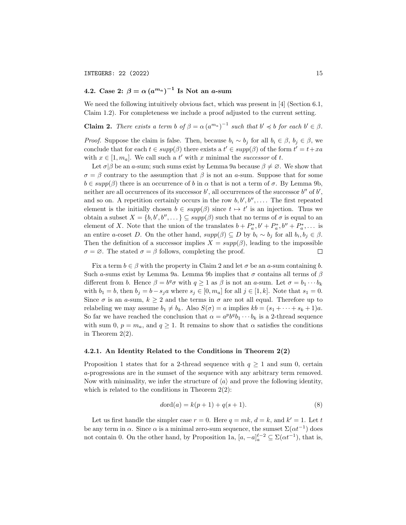# 4.2. Case 2:  $\beta = \alpha \left(a^{m_a}\right)^{-1}$  Is Not an *a*-sum

We need the following intuitively obvious fact, which was present in [4] (Section 6.1, Claim 1.2). For completeness we include a proof adjusted to the current setting.

**Claim 2.** There exists a term b of  $\beta = \alpha (a^{m_a})^{-1}$  such that  $b' \preccurlyeq b$  for each  $b' \in \beta$ .

*Proof.* Suppose the claim is false. Then, because  $b_i \sim b_j$  for all  $b_i \in \beta$ ,  $b_j \in \beta$ , we conclude that for each  $t \in supp(\beta)$  there exists a  $t' \in supp(\beta)$  of the form  $t' = t + xa$ with  $x \in [1, m_a]$ . We call such a t' with x minimal the successor of t.

Let  $\sigma|\beta$  be an a-sum; such sums exist by Lemma 9a because  $\beta \neq \emptyset$ . We show that  $\sigma = \beta$  contrary to the assumption that  $\beta$  is not an a-sum. Suppose that for some  $b \in supp(\beta)$  there is an occurrence of b in  $\alpha$  that is not a term of  $\sigma$ . By Lemma 9b, neither are all occurrences of its successor  $b'$ , all occurrences of the successor  $b''$  of  $b'$ , and so on. A repetition certainly occurs in the row  $b, b', b'', \ldots$ . The first repeated element is the initially chosen  $b \in supp(\beta)$  since  $t \mapsto t'$  is an injection. Thus we obtain a subset  $X = \{b, b', b'', \dots\} \subseteq supp(\beta)$  such that no terms of  $\sigma$  is equal to an element of X. Note that the union of the translates  $b + P_a^*, b' + P_a^*, b'' + P_a^*, \dots$  is an entire a-coset D. On the other hand,  $supp(\beta) \subseteq D$  by  $b_i \sim b_j$  for all  $b_i, b_j \in \beta$ . Then the definition of a successor implies  $X = supp(\beta)$ , leading to the impossible  $\sigma = \emptyset$ . The stated  $\sigma = \beta$  follows, completing the proof.  $\Box$ 

Fix a term  $b \in \beta$  with the property in Claim 2 and let  $\sigma$  be an a-sum containing b. Such a-sums exist by Lemma 9a. Lemma 9b implies that  $\sigma$  contains all terms of  $\beta$ different from b. Hence  $\beta = b^q \sigma$  with  $q \ge 1$  as  $\beta$  is not an a-sum. Let  $\sigma = b_1 \cdots b_k$ with  $b_1 = b$ , then  $b_j = b - s_j a$  where  $s_j \in [0, m_a]$  for all  $j \in [1, k]$ . Note that  $s_1 = 0$ . Since  $\sigma$  is an a-sum,  $k \geq 2$  and the terms in  $\sigma$  are not all equal. Therefore up to relabeling we may assume  $b_1 \neq b_k$ . Also  $S(\sigma) = a$  implies  $kb = (s_1 + \cdots + s_k + 1)a$ . So far we have reached the conclusion that  $\alpha = a^p b^q b_1 \cdots b_k$  is a 2-thread sequence with sum 0,  $p = m_a$ , and  $q \ge 1$ . It remains to show that  $\alpha$  satisfies the conditions in Theorem  $2(2)$ .

#### 4.2.1. An Identity Related to the Conditions in Theorem 2(2)

Proposition 1 states that for a 2-thread sequence with  $q \ge 1$  and sum 0, certain a-progressions are in the sumset of the sequence with any arbitrary term removed. Now with minimality, we infer the structure of  $\langle a \rangle$  and prove the following identity, which is related to the conditions in Theorem  $2(2)$ :

$$
dord(a) = k(p+1) + q(s+1).
$$
 (8)

Let us first handle the simpler case  $r = 0$ . Here  $q = mk$ ,  $d = k$ , and  $k' = 1$ . Let t be any term in  $\alpha$ . Since  $\alpha$  is a minimal zero-sum sequence, the sumset  $\Sigma(\alpha t^{-1})$  does not contain 0. On the other hand, by Proposition 1a,  $[a, -a]_a^{\ell-2} \subseteq \Sigma(\alpha t^{-1})$ , that is,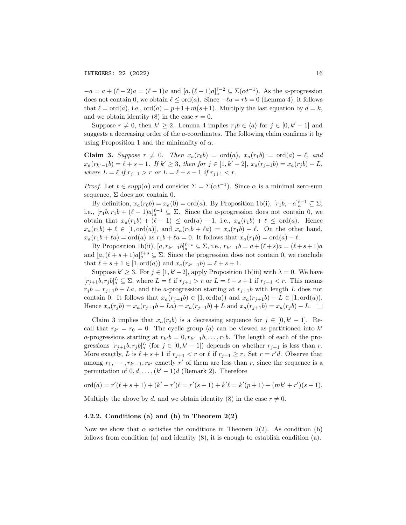$-a = a + (\ell - 2)a = (\ell - 1)a$  and  $[a, (\ell - 1)a]_a^{\ell-2} \subseteq \Sigma(\alpha t^{-1})$ . As the *a*-progression does not contain 0, we obtain  $\ell \leq \text{ord}(a)$ . Since  $-\ell a = rb = 0$  (Lemma 4), it follows that  $\ell = \text{ord}(a)$ , i.e.,  $\text{ord}(a) = p + 1 + m(s + 1)$ . Multiply the last equation by  $d = k$ , and we obtain identity (8) in the case  $r = 0$ .

Suppose  $r \neq 0$ , then  $k' \geq 2$ . Lemma 4 implies  $r_j b \in \langle a \rangle$  for  $j \in [0, k'-1]$  and suggests a decreasing order of the a-coordinates. The following claim confirms it by using Proposition 1 and the minimality of  $\alpha$ .

Claim 3. Suppose  $r \neq 0$ . Then  $x_a(r_0b) = \text{ord}(a), x_a(r_1b) = \text{ord}(a) - \ell,$  and  $x_a(r_{k'-1}b) = \ell + s + 1$ . If  $k' \geq 3$ , then for  $j \in [1, k'-2]$ ,  $x_a(r_{j+1}b) = x_a(r_j b) - L$ , where  $L = \ell$  if  $r_{i+1} > r$  or  $L = \ell + s + 1$  if  $r_{i+1} < r$ .

*Proof.* Let  $t \in supp(\alpha)$  and consider  $\Sigma = \Sigma(\alpha t^{-1})$ . Since  $\alpha$  is a minimal zero-sum sequence,  $\Sigma$  does not contain 0.

By definition,  $x_a(r_0b) = x_a(0) = \text{ord}(a)$ . By Proposition 1b(i),  $[r_1b, -a]_a^{\ell-1} \subseteq \Sigma$ , i.e.,  $[r_1b, r_1b + (\ell - 1)a]_a^{\ell-1} \subseteq \Sigma$ . Since the *a*-progression does not contain 0, we obtain that  $x_a(r_1b) + (\ell - 1) \leq \text{ord}(a) - 1$ , i.e.,  $x_a(r_1b) + \ell \leq \text{ord}(a)$ . Hence  $x_a(r_1b) + \ell \in [1, \text{ord}(a)],$  and  $x_a(r_1b + \ell a) = x_a(r_1b) + \ell.$  On the other hand,  $x_a(r_1b + \ell a) = \text{ord}(a)$  as  $r_1b + \ell a = 0$ . It follows that  $x_a(r_1b) = \text{ord}(a) - \ell$ .

By Proposition 1b(ii),  $[a, r_{k'-1}b]_a^{\ell+s} \subseteq \Sigma$ , i.e.,  $r_{k'-1}b = a + (\ell+s)a = (\ell+s+1)a$ and  $[a, (\ell + s + 1)a]_a^{\ell+s} \subseteq \Sigma$ . Since the progression does not contain 0, we conclude that  $\ell + s + 1 \in [1, \text{ord}(a))$  and  $x_a(r_{k'-1}b) = \ell + s + 1$ .

Suppose  $k' \geq 3$ . For  $j \in [1, k'-2]$ , apply Proposition 1b(iii) with  $\lambda = 0$ . We have  $[r_{j+1}b, r_j b]_a^L \subseteq \Sigma$ , where  $L = \ell$  if  $r_{j+1} > r$  or  $L = \ell + s + 1$  if  $r_{j+1} < r$ . This means  $r_j b = r_{j+1} b + La$ , and the a-progression starting at  $r_{j+1} b$  with length L does not contain 0. It follows that  $x_a(r_{j+1}b) \in [1, \text{ord}(a))$  and  $x_a(r_{j+1}b) + L \in [1, \text{ord}(a))$ . Hence  $x_a(r_j b) = x_a(r_{j+1} b + La) = x_a(r_{j+1} b) + L$  and  $x_a(r_{j+1} b) = x_a(r_j b) - L$ .  $\Box$ 

Claim 3 implies that  $x_a(r_j b)$  is a decreasing sequence for  $j \in [0, k' - 1]$ . Recall that  $r_{k'} = r_0 = 0$ . The cyclic group  $\langle a \rangle$  can be viewed as partitioned into k' a-progressions starting at  $r_{k'}b = 0, r_{k'-1}b, \ldots, r_1b$ . The length of each of the progressions  $[r_{j+1}b, r_j b]_a^L$  (for  $j \in [0, k'-1]$ ) depends on whether  $r_{j+1}$  is less than r. More exactly, L is  $\ell + s + 1$  if  $r_{j+1} < r$  or  $\ell$  if  $r_{j+1} \geq r$ . Set  $r = r'd$ . Observe that among  $r_1, \dots, r_{k'-1}, r_{k'}$  exactly r' of them are less than r, since the sequence is a permutation of  $0, d, \ldots, (k'-1)d$  (Remark 2). Therefore

$$
\text{ord}(a) = r'(\ell + s + 1) + (k' - r')\ell = r'(s + 1) + k'\ell = k'(p + 1) + (mk' + r')(s + 1).
$$

Multiply the above by d, and we obtain identity (8) in the case  $r \neq 0$ .

### 4.2.2. Conditions (a) and (b) in Theorem 2(2)

Now we show that  $\alpha$  satisfies the conditions in Theorem 2(2). As condition (b) follows from condition (a) and identity (8), it is enough to establish condition (a).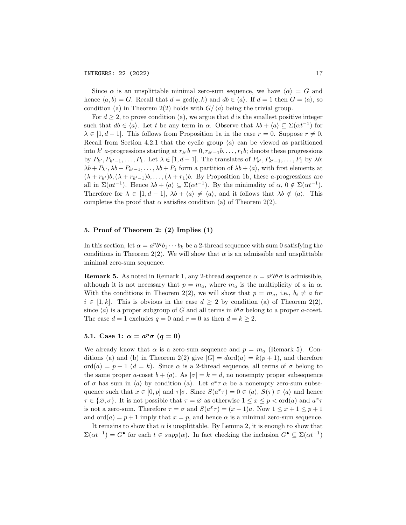Since  $\alpha$  is an unsplittable minimal zero-sum sequence, we have  $\langle \alpha \rangle = G$  and hence  $\langle a, b \rangle = G$ . Recall that  $d = \gcd(q, k)$  and  $db \in \langle a \rangle$ . If  $d = 1$  then  $G = \langle a \rangle$ , so condition (a) in Theorem 2(2) holds with  $G/\langle a \rangle$  being the trivial group.

For  $d \geq 2$ , to prove condition (a), we argue that d is the smallest positive integer such that  $db \in \langle a \rangle$ . Let t be any term in  $\alpha$ . Observe that  $\lambda b + \langle a \rangle \subseteq \Sigma(\alpha t^{-1})$  for  $\lambda \in [1, d-1]$ . This follows from Proposition 1a in the case  $r = 0$ . Suppose  $r \neq 0$ . Recall from Section 4.2.1 that the cyclic group  $\langle a \rangle$  can be viewed as partitioned into k' a-progressions starting at  $r_{k'}b = 0, r_{k'-1}b, \ldots, r_1b$ ; denote these progressions by  $P_{k'}, P_{k'-1}, \ldots, P_1$ . Let  $\lambda \in [1, d-1]$ . The translates of  $P_{k'}, P_{k'-1}, \ldots, P_1$  by  $\lambda b$ :  $\lambda b + P_{k'}, \lambda b + P_{k'-1}, \ldots, \lambda b + P_1$  form a partition of  $\lambda b + \langle a \rangle$ , with first elements at  $(\lambda + r_{k'})b,(\lambda + r_{k'-1})b, \ldots, (\lambda + r_1)b$ . By Proposition 1b, these a-progressions are all in  $\Sigma(\alpha t^{-1})$ . Hence  $\lambda b + \langle a \rangle \subseteq \Sigma(\alpha t^{-1})$ . By the minimality of  $\alpha, 0 \notin \Sigma(\alpha t^{-1})$ . Therefore for  $\lambda \in [1, d-1], \lambda b + \langle a \rangle \neq \langle a \rangle$ , and it follows that  $\lambda b \notin \langle a \rangle$ . This. completes the proof that  $\alpha$  satisfies condition (a) of Theorem 2(2).

# 5. Proof of Theorem 2: (2) Implies (1)

In this section, let  $\alpha = a^p b^q b_1 \cdots b_k$  be a 2-thread sequence with sum 0 satisfying the conditions in Theorem 2(2). We will show that  $\alpha$  is an admissible and unsplittable minimal zero-sum sequence.

**Remark 5.** As noted in Remark 1, any 2-thread sequence  $\alpha = a^p b^q \sigma$  is admissible, although it is not necessary that  $p = m_a$ , where  $m_a$  is the multiplicity of a in  $\alpha$ . With the conditions in Theorem 2(2), we will show that  $p = m_a$ , i.e.,  $b_i \neq a$  for  $i \in [1, k]$ . This is obvious in the case  $d \geq 2$  by condition (a) of Theorem 2(2), since  $\langle a \rangle$  is a proper subgroup of G and all terms in  $b^q\sigma$  belong to a proper a-coset. The case  $d = 1$  excludes  $q = 0$  and  $r = 0$  as then  $d = k \geq 2$ .

# 5.1. Case 1:  $\alpha = a^p \sigma (q = 0)$

We already know that  $\alpha$  is a zero-sum sequence and  $p = m_a$  (Remark 5). Conditions (a) and (b) in Theorem 2(2) give  $|G| = d \text{ord}(a) = k(p+1)$ , and therefore ord(a) = p + 1 (d = k). Since  $\alpha$  is a 2-thread sequence, all terms of  $\sigma$  belong to the same proper a-coset  $b + \langle a \rangle$ . As  $|\sigma| = k = d$ , no nonempty proper subsequence of  $\sigma$  has sum in  $\langle a \rangle$  by condition (a). Let  $a^x \tau | \alpha$  be a nonempty zero-sum subsequence such that  $x \in [0, p]$  and  $\tau | \sigma$ . Since  $S(a^x \tau) = 0 \in \langle a \rangle$ ,  $S(\tau) \in \langle a \rangle$  and hence  $\tau \in \{\emptyset, \sigma\}$ . It is not possible that  $\tau = \emptyset$  as otherwise  $1 \leq x \leq p < \text{ord}(a)$  and  $a^x \tau$ is not a zero-sum. Therefore  $\tau = \sigma$  and  $S(a^x \tau) = (x+1)a$ . Now  $1 \le x+1 \le p+1$ and  $\text{ord}(a) = p + 1$  imply that  $x = p$ , and hence  $\alpha$  is a minimal zero-sum sequence.

It remains to show that  $\alpha$  is unsplittable. By Lemma 2, it is enough to show that  $\Sigma(\alpha t^{-1}) = G^{\bullet}$  for each  $t \in supp(\alpha)$ . In fact checking the inclusion  $G^{\bullet} \subseteq \Sigma(\alpha t^{-1})$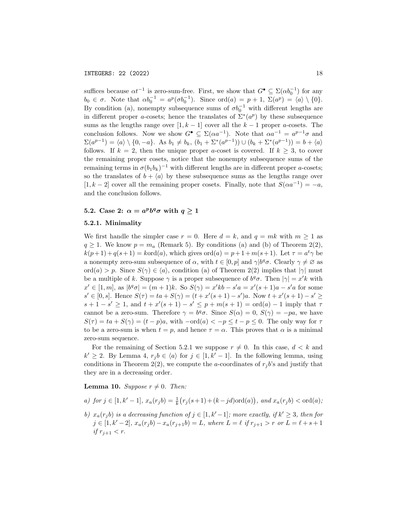suffices because  $\alpha t^{-1}$  is zero-sum-free. First, we show that  $G^{\bullet} \subseteq \Sigma(\alpha b_0^{-1})$  for any  $b_0 \in \sigma$ . Note that  $\alpha b_0^{-1} = a^p(\sigma b_0^{-1})$ . Since  $\text{ord}(a) = p + 1$ ,  $\Sigma(a^p) = \langle a \rangle \setminus \{0\}$ . By condition (a), nonempty subsequence sums of  $\sigma b_0^{-1}$  with different lengths are in different proper a-cosets; hence the translates of  $\Sigma^*(a^p)$  by these subsequence sums as the lengths range over  $[1, k - 1]$  cover all the  $k - 1$  proper a-cosets. The conclusion follows. Now we show  $G^{\bullet} \subseteq \Sigma(\alpha a^{-1})$ . Note that  $\alpha a^{-1} = a^{p-1}\sigma$  and  $\Sigma(a^{p-1}) = \langle a \rangle \setminus \{0, -a\}.$  As  $b_1 \neq b_k$ ,  $(b_1 + \Sigma^*(a^{p-1})) \cup (b_k + \Sigma^*(a^{p-1})) = b + \langle a \rangle$ follows. If  $k = 2$ , then the unique proper a-coset is covered. If  $k \geq 3$ , to cover the remaining proper cosets, notice that the nonempty subsequence sums of the remaining terms in  $\sigma(b_1b_k)^{-1}$  with different lengths are in different proper a-cosets; so the translates of  $b + \langle a \rangle$  by these subsequence sums as the lengths range over  $[1, k-2]$  cover all the remaining proper cosets. Finally, note that  $S(\alpha a^{-1}) = -a$ , and the conclusion follows.

# 5.2. Case 2:  $\alpha = a^p b^q \sigma$  with  $q \ge 1$

### 5.2.1. Minimality

We first handle the simpler case  $r = 0$ . Here  $d = k$ , and  $q = mk$  with  $m \ge 1$  as  $q \geq 1$ . We know  $p = m_a$  (Remark 5). By conditions (a) and (b) of Theorem 2(2),  $k(p+1) + q(s+1) = kord(a)$ , which gives  $ord(a) = p+1+m(s+1)$ . Let  $\tau = a^t \gamma$  be a nonempty zero-sum subsequence of  $\alpha$ , with  $t \in [0, p]$  and  $\gamma | b^q \sigma$ . Clearly  $\gamma \neq \emptyset$  as ord(a) > p. Since  $S(\gamma) \in \langle a \rangle$ , condition (a) of Theorem 2(2) implies that  $|\gamma|$  must be a multiple of k. Suppose  $\gamma$  is a proper subsequence of  $b^q\sigma$ . Then  $|\gamma|=x'k$  with  $x' \in [1, m]$ , as  $|b^q \sigma| = (m + 1)k$ . So  $S(\gamma) = x'kb - s'a = x'(s + 1)a - s'a$  for some  $s' \in [0, s]$ . Hence  $S(\tau) = ta + S(\gamma) = (t + x'(s + 1) - s')a$ . Now  $t + x'(s + 1) - s' \ge$  $s + 1 - s' \geq 1$ , and  $t + x'(s + 1) - s' \leq p + m(s + 1) = \text{ord}(a) - 1$  imply that  $\tau$ cannot be a zero-sum. Therefore  $\gamma = b^q \sigma$ . Since  $S(\alpha) = 0$ ,  $S(\gamma) = -pa$ , we have  $S(\tau) = ta + S(\gamma) = (t - p)a$ , with  $-\text{ord}(a) < -p \leq t - p \leq 0$ . The only way for  $\tau$ to be a zero-sum is when  $t = p$ , and hence  $\tau = \alpha$ . This proves that  $\alpha$  is a minimal zero-sum sequence.

For the remaining of Section 5.2.1 we suppose  $r \neq 0$ . In this case,  $d < k$  and  $k' \geq 2$ . By Lemma 4,  $r_j b \in \langle a \rangle$  for  $j \in [1, k'-1]$ . In the following lemma, using conditions in Theorem 2(2), we compute the a-coordinates of  $r_i b$ 's and justify that they are in a decreasing order.

**Lemma 10.** Suppose  $r \neq 0$ . Then:

- a) for  $j \in [1, k' 1]$ ,  $x_a(r_j b) = \frac{1}{k}(r_j(s+1) + (k-jd)ord(a))$ , and  $x_a(r_j b) < ord(a)$ ;
- b)  $x_a(r_j b)$  is a decreasing function of  $j \in [1, k'-1]$ ; more exactly, if  $k' \geq 3$ , then for  $j \in [1, k'-2], x_a(r_j b) - x_a(r_{j+1}b) = L$ , where  $L = \ell$  if  $r_{j+1} > r$  or  $L = \ell + s + 1$ if  $r_{i+1} < r$ .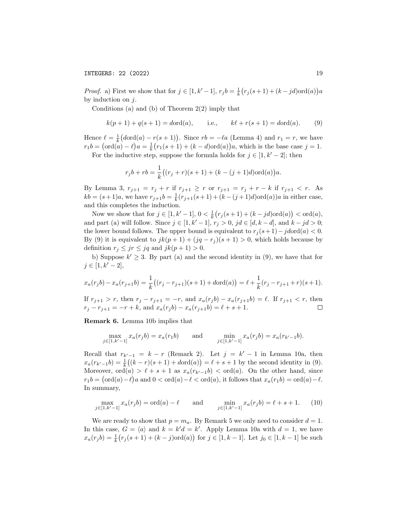*Proof.* a) First we show that for  $j \in [1, k' - 1]$ ,  $r_j b = \frac{1}{k} (r_j (s + 1) + (k - jd) \text{ord}(a)) a$ by induction on  $i$ .

Conditions (a) and (b) of Theorem  $2(2)$  imply that

$$
k(p+1) + q(s+1) = d
$$
ord $(a)$ , i.e.,  $k\ell + r(s+1) = d$ ord $(a)$ . (9)

Hence  $\ell = \frac{1}{k} (d \text{ord}(a) - r(s + 1))$ . Since  $rb = -\ell a$  (Lemma 4) and  $r_1 = r$ , we have  $r_1b = (\text{ord}(a) - \ell)a = \frac{1}{k}(r_1(s + 1) + (k - d)\text{ord}(a))a$ , which is the base case  $j = 1$ .

For the inductive step, suppose the formula holds for  $j \in [1, k' - 2]$ ; then

$$
r_j b + rb = \frac{1}{k} ((r_j + r)(s + 1) + (k - (j + 1)d) \text{ord}(a)) a.
$$

By Lemma 3,  $r_{j+1} = r_j + r$  if  $r_{j+1} \geq r$  or  $r_{j+1} = r_j + r - k$  if  $r_{j+1} < r$ . As  $kb = (s+1)a$ , we have  $r_{j+1}b = \frac{1}{k}(r_{j+1}(s+1) + (k-(j+1)d)\text{ord}(a))a$  in either case, and this completes the induction.

Now we show that for  $j \in [1, k' - 1]$ ,  $0 < \frac{1}{k}(r_j(s + 1) + (k - jd)ord(a)) < ord(a)$ , and part (a) will follow. Since  $j \in [1, k'-1], r_j > 0, j d \in [d, k-d],$  and  $k - jd > 0$ ; the lower bound follows. The upper bound is equivalent to  $r_j(s+1)-j d N(a) < 0$ . By (9) it is equivalent to  $jk(p+1) + (jq - r<sub>j</sub>)(s+1) > 0$ , which holds because by definition  $r_j \leq jr \leq jq$  and  $jk(p+1) > 0$ .

b) Suppose  $k' \geq 3$ . By part (a) and the second identity in (9), we have that for  $j \in [1, k' - 2],$ 

$$
x_a(r_jb) - x_a(r_{j+1}b) = \frac{1}{k}((r_j - r_{j+1})(s+1) + d\text{ord}(a)) = \ell + \frac{1}{k}(r_j - r_{j+1} + r)(s+1).
$$

If  $r_{j+1} > r$ , then  $r_j - r_{j+1} = -r$ , and  $x_a(r_j b) - x_a(r_{j+1} b) = \ell$ . If  $r_{j+1} < r$ , then  $r_j - r_{j+1} = -r + k$ , and  $x_a(r_j b) - x_a(r_{j+1} b) = \ell + s + 1$ .  $\Box$ 

Remark 6. Lemma 10b implies that

$$
\max_{j \in [1,k'-1]} x_a(r_j b) = x_a(r_1 b) \quad \text{and} \quad \min_{j \in [1,k'-1]} x_a(r_j b) = x_a(r_{k'-1} b).
$$

Recall that  $r_{k'-1} = k - r$  (Remark 2). Let  $j = k' - 1$  in Lemma 10a, then  $x_a(r_{k'-1}b) = \frac{1}{k}((k-r)(s+1) + d\text{ord}(a)) = \ell + s + 1$  by the second identity in (9). Moreover, ord(a) >  $\ell + s + 1$  as  $x_a(r_{k'-1}b) < \text{ord}(a)$ . On the other hand, since  $r_1b = (\text{ord}(a)-\ell)a$  and  $0 < \text{ord}(a)-\ell < \text{ord}(a)$ , it follows that  $x_a(r_1b) = \text{ord}(a)-\ell$ . In summary,

$$
\max_{j \in [1, k'-1]} x_a(r_j b) = \text{ord}(a) - \ell \quad \text{and} \quad \min_{j \in [1, k'-1]} x_a(r_j b) = \ell + s + 1. \tag{10}
$$

We are ready to show that  $p = m_a$ . By Remark 5 we only need to consider  $d = 1$ . In this case,  $G = \langle a \rangle$  and  $k = k'd = k'$ . Apply Lemma 10a with  $d = 1$ , we have  $x_a(r_j b) = \frac{1}{k}(r_j(s+1) + (k-j)\text{ord}(a))$  for  $j \in [1, k-1]$ . Let  $j_0 \in [1, k-1]$  be such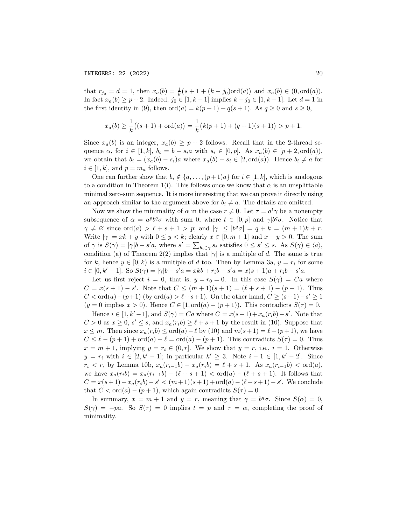that  $r_{j_0} = d = 1$ , then  $x_a(b) = \frac{1}{k}(s + 1 + (k - j_0)\text{ord}(a))$  and  $x_a(b) \in (0, \text{ord}(a))$ . In fact  $x_a(b) \ge p+2$ . Indeed,  $j_0 \in [1, k-1]$  implies  $k - j_0 \in [1, k-1]$ . Let  $d = 1$  in the first identity in (9), then  $\text{ord}(a) = k(p+1) + q(s+1)$ . As  $q \ge 0$  and  $s \ge 0$ ,

$$
x_a(b) \ge \frac{1}{k}((s+1) + \text{ord}(a)) = \frac{1}{k}(k(p+1) + (q+1)(s+1)) > p+1.
$$

Since  $x_a(b)$  is an integer,  $x_a(b) \geq p+2$  follows. Recall that in the 2-thread sequence  $\alpha$ , for  $i \in [1, k]$ ,  $b_i = b - s_i a$  with  $s_i \in [0, p]$ . As  $x_a(b) \in [p + 2, \text{ord}(a))$ , we obtain that  $b_i = (x_a(b) - s_i)a$  where  $x_a(b) - s_i \in [2, \text{ord}(a))$ . Hence  $b_i \neq a$  for  $i \in [1, k]$ , and  $p = m_a$  follows.

One can further show that  $b_i \notin \{a, \ldots, (p+1)a\}$  for  $i \in [1, k]$ , which is analogous to a condition in Theorem 1(i). This follows once we know that  $\alpha$  is an unsplittable minimal zero-sum sequence. It is more interesting that we can prove it directly using an approach similar to the argument above for  $b_i \neq a$ . The details are omitted.

Now we show the minimality of  $\alpha$  in the case  $r \neq 0$ . Let  $\tau = a^t \gamma$  be a nonempty subsequence of  $\alpha = a^p b^q \sigma$  with sum 0, where  $t \in [0, p]$  and  $\gamma | b^q \sigma$ . Notice that  $\gamma \neq \emptyset$  since ord(a)  $\geq \ell + s + 1 > p$ ; and  $|\gamma| \leq |b^q \sigma| = q + k = (m + 1)k + r$ . Write  $|\gamma| = xk + y$  with  $0 \le y < k$ ; clearly  $x \in [0, m + 1]$  and  $x + y > 0$ . The sum of  $\gamma$  is  $S(\gamma) = |\gamma| b - s' a$ , where  $s' = \sum_{b_i \in \gamma} s_i$  satisfies  $0 \le s' \le s$ . As  $S(\gamma) \in \langle a \rangle$ , condition (a) of Theorem 2(2) implies that  $|\gamma|$  is a multiple of d. The same is true for k, hence  $y \in [0, k)$  is a multiple of d too. Then by Lemma 3a,  $y = r_i$  for some  $i \in [0, k'-1]$ . So  $S(\gamma) = |\gamma|b - s'a = xkb + r_ib - s'a = x(s+1)a + r_ib - s'a$ .

Let us first reject  $i = 0$ , that is,  $y = r_0 = 0$ . In this case  $S(\gamma) = Ca$  where  $C = x(s+1) - s'$ . Note that  $C \leq (m+1)(s+1) = (\ell + s + 1) - (p+1)$ . Thus  $C < \text{ord}(a) - (p+1)$  (by  $\text{ord}(a) > \ell + s + 1$ ). On the other hand,  $C \ge (s+1) - s' \ge 1$  $(y = 0 \text{ implies } x > 0)$ . Hence  $C \in [1, \text{ord}(a) - (p+1))$ . This contradicts  $S(\tau) = 0$ .

Hence  $i \in [1, k'-1]$ , and  $S(\gamma) = Ca$  where  $C = x(s+1) + x_a(r_i b) - s'$ . Note that  $C > 0$  as  $x \geq 0$ ,  $s' \leq s$ , and  $x_a(r_i b) \geq \ell + s + 1$  by the result in (10). Suppose that  $x \leq m$ . Then since  $x_a(r_i b) \leq \text{ord}(a) - \ell$  by (10) and  $m(s + 1) = \ell - (p + 1)$ , we have  $C \leq \ell - (p + 1) + \text{ord}(a) - \ell = \text{ord}(a) - (p + 1)$ . This contradicts  $S(\tau) = 0$ . Thus  $x = m + 1$ , implying  $y = r_i \in (0, r]$ . We show that  $y = r$ , i.e.,  $i = 1$ . Otherwise  $y = r_i$  with  $i \in [2, k' - 1]$ ; in particular  $k' \geq 3$ . Note  $i - 1 \in [1, k' - 2]$ . Since  $r_i < r$ , by Lemma 10b,  $x_a(r_{i-1}b) - x_a(r_i b) = \ell + s + 1$ . As  $x_a(r_{i-1}b) < \text{ord}(a)$ , we have  $x_a(r_ib) = x_a(r_{i-1}b) - (\ell + s + 1) < \text{ord}(a) - (\ell + s + 1)$ . It follows that  $C = x(s+1) + x_a(r_i b) - s' < (m+1)(s+1) + \text{ord}(a) - (\ell + s + 1) - s'.$  We conclude that  $C < \text{ord}(a) - (p+1)$ , which again contradicts  $S(\tau) = 0$ .

In summary,  $x = m + 1$  and  $y = r$ , meaning that  $\gamma = b^q \sigma$ . Since  $S(\alpha) = 0$ ,  $S(\gamma) = -pa$ . So  $S(\tau) = 0$  implies  $t = p$  and  $\tau = \alpha$ , completing the proof of minimality.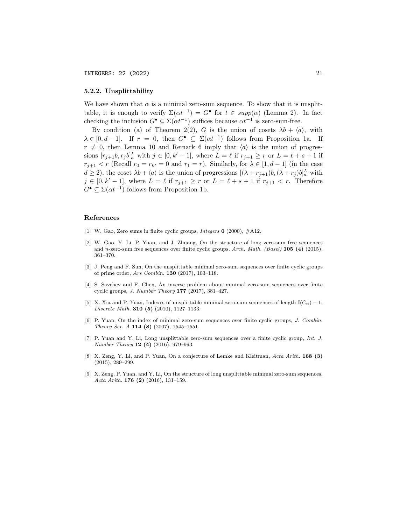### 5.2.2. Unsplittability

We have shown that  $\alpha$  is a minimal zero-sum sequence. To show that it is unsplittable, it is enough to verify  $\Sigma(\alpha t^{-1}) = G^{\bullet}$  for  $t \in supp(\alpha)$  (Lemma 2). In fact checking the inclusion  $G^{\bullet} \subseteq \Sigma(\alpha t^{-1})$  suffices because  $\alpha t^{-1}$  is zero-sum-free.

By condition (a) of Theorem 2(2), G is the union of cosets  $\lambda b + \langle a \rangle$ , with  $\lambda \in [0, d-1]$ . If  $r = 0$ , then  $G^{\bullet} \subseteq \Sigma(\alpha t^{-1})$  follows from Proposition 1a. If  $r \neq 0$ , then Lemma 10 and Remark 6 imply that  $\langle a \rangle$  is the union of progressions  $[r_{j+1}b, r_j b]_a^L$  with  $j \in [0, k'-1]$ , where  $L = \ell$  if  $r_{j+1} \geq r$  or  $L = \ell + s + 1$  if  $r_{j+1} < r$  (Recall  $r_0 = r_{k'} = 0$  and  $r_1 = r$ ). Similarly, for  $\lambda \in [1, d-1]$  (in the case  $d \geq 2$ ), the coset  $\lambda b + \langle a \rangle$  is the union of progressions  $[(\lambda + r_{j+1})b, (\lambda + r_j)b]_a^L$  with  $j \in [0, k'-1]$ , where  $L = \ell$  if  $r_{j+1} \geq r$  or  $L = \ell + s + 1$  if  $r_{j+1} < r$ . Therefore  $G^{\bullet} \subseteq \Sigma(\alpha t^{-1})$  follows from Proposition 1b.

#### References

- [1] W. Gao, Zero sums in finite cyclic groups, *Integers*  $\mathbf{0}$  (2000),  $\#\text{A12}$ .
- [2] W. Gao, Y. Li, P. Yuan, and J. Zhuang, On the structure of long zero-sum free sequences and n-zero-sum free sequences over finite cyclic groups, Arch. Math. (Basel)  $105$  (4) (2015), 361–370.
- [3] J. Peng and F. Sun, On the unsplittable minimal zero-sum sequences over finite cyclic groups of prime order, Ars Combin. 130 (2017), 103–118.
- [4] S. Savchev and F. Chen, An inverse problem about minimal zero-sum sequences over finite cyclic groups, J. Number Theory 177 (2017), 381–427.
- [5] X. Xia and P. Yuan, Indexes of unsplittable minimal zero-sum sequences of length  $\mathbb{I}(C_n) 1$ , Discrete Math. **310 (5)** (2010), 1127-1133.
- [6] P. Yuan, On the index of minimal zero-sum sequences over finite cyclic groups, J. Combin. Theory Ser. A 114 (8) (2007), 1545–1551.
- [7] P. Yuan and Y. Li, Long unsplittable zero-sum sequences over a finite cyclic group, Int. J. Number Theory 12 (4) (2016), 979–993.
- [8] X. Zeng, Y. Li, and P. Yuan, On a conjecture of Lemke and Kleitman, Acta Arith. 168 (3) (2015), 289–299.
- [9] X. Zeng, P. Yuan, and Y. Li, On the structure of long unsplittable minimal zero-sum sequences, Acta Arith. 176 (2) (2016), 131–159.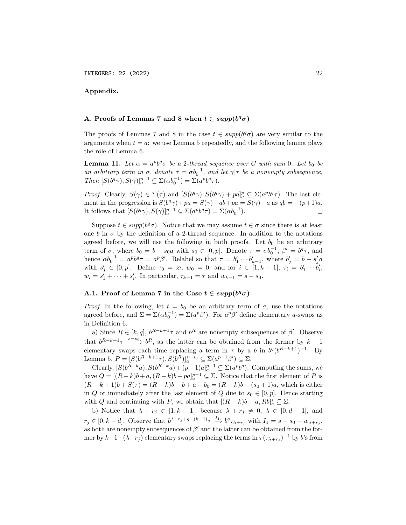# Appendix.

# A. Proofs of Lemmas 7 and 8 when  $t \in supp(b^q\sigma)$

The proofs of Lemmas 7 and 8 in the case  $t \in supp(b^q\sigma)$  are very similar to the arguments when  $t = a$ : we use Lemma 5 repeatedly, and the following lemma plays the rôle of Lemma 6.

**Lemma 11.** Let  $\alpha = a^p b^q \sigma$  be a 2-thread sequence over G with sum 0. Let  $b_0$  be an arbitrary term in  $\sigma$ , denote  $\tau = \sigma b_0^{-1}$ , and let  $\gamma | \tau$  be a nonempty subsequence. Then  $[S(b^q\gamma), S(\gamma)]_a^{p+1} \subseteq \Sigma(\alpha b_0^{-1}) = \Sigma(a^p b^q \tau).$ 

*Proof.* Clearly,  $S(\gamma) \in \Sigma(\tau)$  and  $[S(b^q\gamma), S(b^q\gamma) + pa]_a^p \subseteq \Sigma(a^p b^q \tau)$ . The last element in the progression is  $S(b^q\gamma) + pa = S(\gamma) + qb + pa = S(\gamma) - a$  as  $qb = -(p+1)a$ . It follows that  $[S(b^q\gamma), S(\gamma)]_a^{p+1} \subseteq \Sigma(a^p b^q \tau) = \Sigma(\alpha b_0^{-1}).$  $\Box$ 

Suppose  $t \in supp(b^q\sigma)$ . Notice that we may assume  $t \in \sigma$  since there is at least one b in  $\sigma$  by the definition of a 2-thread sequence. In addition to the notations agreed before, we will use the following in both proofs. Let  $b_0$  be an arbitrary term of  $\sigma$ , where  $b_0 = b - s_0 a$  with  $s_0 \in [0, p]$ . Denote  $\tau = \sigma b_0^{-1}$ ,  $\beta' = b^q \tau$ , and hence  $\alpha b_0^{-1} = a^p b^q \tau = a^p \beta'$ . Relabel so that  $\tau = b'_1 \cdots b'_{k-1}$ , where  $b'_j = b - s'_j a$ with  $s'_j \in [0, p]$ . Define  $\tau_0 = \emptyset$ ,  $w_0 = 0$ ; and for  $i \in [1, k-1]$ ,  $\tau_i = b'_1 \cdots b'_i$ ,  $w_i = s_1' + \cdots + s_i'$ . In particular,  $\tau_{k-1} = \tau$  and  $w_{k-1} = s - s_0$ .

# A.1. Proof of Lemma 7 in the Case  $t \in supp(b^q\sigma)$

*Proof.* In the following, let  $t = b_0$  be an arbitrary term of  $\sigma$ , use the notations agreed before, and  $\Sigma = \Sigma(\alpha b_0^{-1}) = \Sigma(a^p \beta')$ . For  $a^p \beta'$  define elementary a-swaps as in Definition 6.

a) Since  $R \in [k, q]$ ,  $b^{R-k+1}\tau$  and  $b^R$  are nonempty subsequences of  $\beta'$ . Observe that  $b^{R-k+1}\tau \xrightarrow{s-s_0} b^R$ , as the latter can be obtained from the former by  $k-1$ elementary swaps each time replacing a term in  $\tau$  by a b in  $b^q(b^{R-k+1})^{-1}$ . By Lemma 5,  $P = [S(b^{R-k+1}\tau), S(b^R)]_a^{s-s_0} \subseteq \Sigma(a^{p-1}\beta') \subseteq \Sigma.$ 

Clearly,  $[S(b^{R-k}a), S(b^{R-k}a) + (p-1)a]_a^{p-1} \subseteq \Sigma(a^p b^q)$ . Computing the sums, we have  $Q = [(R-k)b + a, (R-k)b + pa]_a^{p-1} \subseteq \Sigma$ . Notice that the first element of P is  $(R - k + 1)b + S(\tau) = (R - k)b + b + a - b_0 = (R - k)b + (s_0 + 1)a$ , which is either in Q or immediately after the last element of Q due to  $s_0 \in [0, p]$ . Hence starting with Q and continuing with P, we obtain that  $[(R - k)b + a, Rb]_a^s \subseteq \Sigma$ .

b) Notice that  $\lambda + r_j \in [1, k-1]$ , because  $\lambda + r_j \neq 0$ ,  $\lambda \in [0, d-1]$ , and  $r_j \in [0, k-d]$ . Observe that  $b^{\lambda+r_j+q-(k-1)}\tau \xrightarrow{I_1} b^q \tau_{\lambda+r_j}$  with  $I_1 = s - s_0 - w_{\lambda+r_j}$ , as both are nonempty subsequences of  $\beta'$  and the latter can be obtained from the former by  $k-1-(\lambda+r_j)$  elementary swaps replacing the terms in  $\tau(\tau_{\lambda+r_j})^{-1}$  by b's from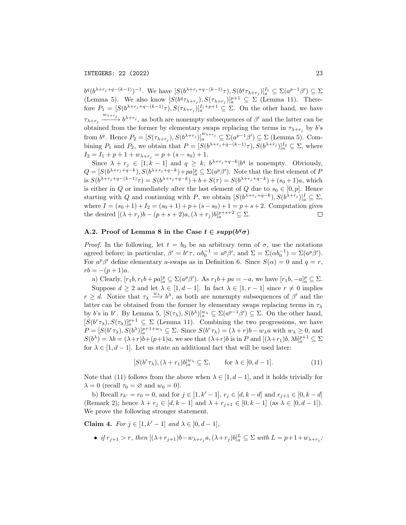INTEGERS: 22 (2022) 23

 $b^q (b^{\lambda+r_j+q-(k-1)})^{-1}$ . We have  $[S(b^{\lambda+r_j+q-(k-1)}\tau), S(b^q\tau_{\lambda+r_j})]_a^{r_1} \subseteq \Sigma(a^{p-1}\beta') \subseteq \Sigma$ (Lemma 5). We also know  $[S(b^q \tau_{\lambda+r_j}), S(\tau_{\lambda+r_j})]_a^{p+1} \subseteq \Sigma$  (Lemma 11). Therefore  $P_1 = [S(b^{\lambda+r_j+q-(k-1)}\tau), S(\tau_{\lambda+r_j})]_a^{I_1+p+1} \subseteq \Sigma$ . On the other hand, we have  $\tau_{\lambda+r_j} \xrightarrow{w_{\lambda+r_j}} b^{\lambda+r_j}$ , as both are nonempty subsequences of  $\beta'$  and the latter can be obtained from the former by elementary swaps replacing the terms in  $\tau_{\lambda+r_j}$  by b's from  $b^q$ . Hence  $P_2 = [S(\tau_{\lambda+r_j}), S(b^{\lambda+r_j})]_a^{w_{\lambda+r_j}} \subseteq \Sigma(a^{p-1}\beta') \subseteq \Sigma$  (Lemma 5). Combining  $P_1$  and  $P_2$ , we obtain that  $P = [S(b^{\lambda+r_j+q-(k-1)}\tau), S(b^{\lambda+r_j})]_a^I \subseteq \Sigma$ , where  $I_2 = I_1 + p + 1 + w_{\lambda+r_i} = p + (s - s_0) + 1.$ 

Since  $\lambda + r_j \in [1, k-1]$  and  $q \geq k$ ,  $b^{\lambda+r_j+q-k} | b^q$  is nonempty. Obviously,  $Q = [S(b^{\lambda+r_j+q-k}), S(b^{\lambda+r_j+q-k})+pa]_a^p \subseteq \Sigma(a^p\beta')$ . Note that the first element of P is  $S(b^{\lambda+r_j+q-(k-1)}\tau) = S(b^{\lambda+r_j+q-k}) + b + S(\tau) = S(b^{\lambda+r_j+q-k}) + (s_0+1)a$ , which is either in Q or immediately after the last element of Q due to  $s_0 \in [0, p]$ . Hence starting with Q and continuing with P, we obtain  $[S(b^{\lambda+r_j+q-k}), S(b^{\lambda+r_j})]_a^I \subseteq \Sigma$ , where  $I = (s_0 + 1) + I_2 = (s_0 + 1) + p + (s - s_0) + 1 = p + s + 2$ . Computation gives the desired  $[(\lambda + r_j)b - (p + s + 2)a, (\lambda + r_j)b]_a^{p+s+2} \subseteq \Sigma$ .  $\Box$ 

# A.2. Proof of Lemma 8 in the Case  $t \in supp(b^q\sigma)$

*Proof.* In the following, let  $t = b_0$  be an arbitrary term of  $\sigma$ , use the notations agreed before; in particular,  $\beta' = b^r \tau$ ,  $\alpha b_0^{-1} = a^p \beta'$ , and  $\Sigma = \Sigma (\alpha b_0^{-1}) = \Sigma (a^p \beta')$ . For  $a^p\beta'$  define elementary a-swaps as in Definition 6. Since  $S(\alpha) = 0$  and  $q = r$ ,  $rb = -(p+1)a$ .

a) Clearly,  $[r_1b, r_1b + pa]_a^p \subseteq \Sigma(a^p\beta')$ . As  $r_1b + pa = -a$ , we have  $[r_1b, -a]_a^p \subseteq \Sigma$ . Suppose  $d \geq 2$  and let  $\lambda \in [1, d-1]$ . In fact  $\lambda \in [1, r-1]$  since  $r \neq 0$  implies  $r \geq d$ . Notice that  $\tau_{\lambda} \xrightarrow{w_{\lambda}} b^{\lambda}$ , as both are nonempty subsequences of  $\beta'$  and the latter can be obtained from the former by elementary swaps replacing terms in  $\tau_{\lambda}$ by b's in b<sup>r</sup>. By Lemma 5,  $[S(\tau_{\lambda}), S(b^{\lambda})]_{a}^{w_{\lambda}} \subseteq \Sigma(a^{p-1}\beta') \subseteq \Sigma$ . On the other hand,  $[S(b^r\tau_\lambda), S(\tau_\lambda)]_a^{p+1} \subseteq \Sigma$  (Lemma 11). Combining the two progressions, we have  $P = [S(b^r \tau_\lambda), S(b^\lambda)]_a^{p+1+w_\lambda} \subseteq \Sigma$ . Since  $S(b^r \tau_\lambda) = (\lambda + r)b - w_\lambda a$  with  $w_\lambda \geq 0$ , and  $S(b^{\lambda}) = \lambda b = (\lambda + r)b + (p+1)a$ , we see that  $(\lambda + r)b$  is in P and  $[(\lambda + r_1)b, \lambda b]_a^{p+1} \subseteq \Sigma$ for  $\lambda \in [1, d-1]$ . Let us state an additional fact that will be used later:

$$
[S(b^r \tau_\lambda), (\lambda + r_1)b]_a^{w_\lambda} \subseteq \Sigma, \quad \text{for } \lambda \in [0, d - 1].
$$
 (11)

Note that (11) follows from the above when  $\lambda \in [1, d-1]$ , and it holds trivially for  $\lambda = 0$  (recall  $\tau_0 = \varnothing$  and  $w_0 = 0$ ).

b) Recall  $r_{k'} = r_0 = 0$ , and for  $j \in [1, k'-1]$ ,  $r_j \in [d, k-d]$  and  $r_{j+1} \in [0, k-d]$ (Remark 2); hence  $\lambda + r_j \in [d, k-1]$  and  $\lambda + r_{j+1} \in [0, k-1]$  (as  $\lambda \in [0, d-1]$ ). We prove the following stronger statement.

Claim 4. For  $j \in [1, k' - 1]$  and  $\lambda \in [0, d - 1]$ ,

• if  $r_{j+1} > r$ , then  $[(\lambda + r_{j+1})b - w_{\lambda+r_j}a, (\lambda + r_j)b]_a^L \subseteq \Sigma$  with  $L = p + 1 + w_{\lambda+r_j}$ ;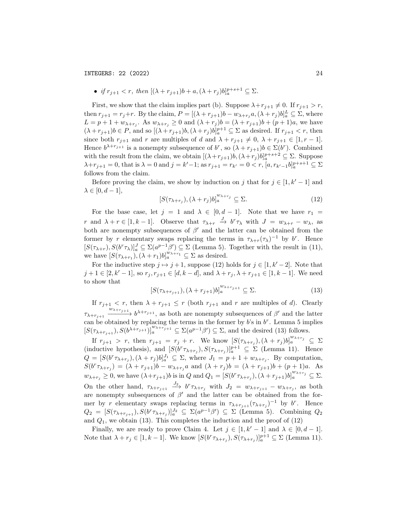• if  $r_{j+1} < r$ , then  $[(\lambda + r_{j+1})b + a, (\lambda + r_j)b]_a^{p+s+1} \subseteq \Sigma$ .

First, we show that the claim implies part (b). Suppose  $\lambda + r_{j+1} \neq 0$ . If  $r_{j+1} > r$ , then  $r_{j+1} = r_j + r$ . By the claim,  $P = [(\lambda + r_{j+1})b - w_{\lambda+r_j}a, (\lambda + r_j)b]_a^L \subseteq \Sigma$ , where  $L = p + 1 + w_{\lambda+r_j}$ . As  $w_{\lambda+r_j} \geq 0$  and  $(\lambda+r_j)b = (\lambda+r_{j+1})b + (p+1)a$ , we have  $(\lambda + r_{j+1})b \in P$ , and so  $[(\lambda + r_{j+1})b, (\lambda + r_j)b]_a^{p+1} \subseteq \Sigma$  as desired. If  $r_{j+1} < r$ , then since both  $r_{j+1}$  and r are multiples of d and  $\lambda + r_{j+1} \neq 0$ ,  $\lambda + r_{j+1} \in [1, r-1]$ . Hence  $b^{\lambda+r_{j+1}}$  is a nonempty subsequence of  $b^r$ , so  $(\lambda+r_{j+1})b \in \Sigma(b^r)$ . Combined with the result from the claim, we obtain  $[(\lambda + r_{j+1})b, (\lambda + r_j)b]_a^{p+s+2} \subseteq \Sigma$ . Suppose  $\lambda + r_{j+1} = 0$ , that is  $\lambda = 0$  and  $j = k' - 1$ ; as  $r_{j+1} = r_{k'} = 0 < r$ ,  $[a, r_{k'-1}b]_a^{p+s+1} \subseteq \Sigma$ follows from the claim.

Before proving the claim, we show by induction on j that for  $j \in [1, k' - 1]$  and  $\lambda \in [0, d-1],$ 

$$
[S(\tau_{\lambda+r_j}), (\lambda+r_j)b]_a^{w_{\lambda+r_j}} \subseteq \Sigma.
$$
 (12)

For the base case, let  $j = 1$  and  $\lambda \in [0, d - 1]$ . Note that we have  $r_1 =$ r and  $\lambda + r \in [1, k-1]$ . Observe that  $\tau_{\lambda+r} \stackrel{J}{\to} b^r \tau_{\lambda}$  with  $J = w_{\lambda+r} - w_{\lambda}$ , as both are nonempty subsequences of  $\beta'$  and the latter can be obtained from the former by r elementary swaps replacing the terms in  $\tau_{\lambda+r}(\tau_{\lambda})^{-1}$  by  $b^r$ . Hence  $[S(\tau_{\lambda+r}), S(b^r\tau_{\lambda})]_a^J \subseteq \Sigma(a^{p-1}\beta') \subseteq \Sigma$  (Lemma 5). Together with the result in (11), we have  $[S(\tau_{\lambda+r_1}), (\lambda+r_1)b]_a^{w_{\lambda+r_1}} \subseteq \Sigma$  as desired.

For the inductive step  $j \mapsto j + 1$ , suppose (12) holds for  $j \in [1, k' - 2]$ . Note that  $j + 1 \in [2, k' - 1]$ , so  $r_j, r_{j+1} \in [d, k - d]$ , and  $\lambda + r_j, \lambda + r_{j+1} \in [1, k - 1]$ . We need to show that

$$
[S(\tau_{\lambda+r_{j+1}}), (\lambda+r_{j+1})b]_a^{w_{\lambda+r_{j+1}}} \subseteq \Sigma.
$$
 (13)

If  $r_{j+1} < r$ , then  $\lambda + r_{j+1} \leq r$  (both  $r_{j+1}$  and r are multiples of d). Clearly  $\tau_{\lambda+r_{i+1}}$  $\frac{w_{\lambda+r_{j+1}}}{w_{\lambda+r_{j+1}}}$  b  $b^{\lambda+r_{j+1}}$ , as both are nonempty subsequences of  $\beta'$  and the latter can be obtained by replacing the terms in the former by  $b$ 's in  $b<sup>r</sup>$ . Lemma 5 implies  $[S(\tau_{\lambda+r_{j+1}}), S(b^{\lambda+r_{j+1}})]_a^{w_{\lambda+r_{j+1}}} \subseteq \Sigma(a^{p-1}\beta') \subseteq \Sigma$ , and the desired (13) follows.

If  $r_{j+1} > r$ , then  $r_{j+1} = r_j + r$ . We know  $[S(\tau_{\lambda+r_j}), (\lambda+r_j)b]_a^{w_{\lambda+r_j}} \subseteq \Sigma$ (inductive hypothesis), and  $[S(b^r \tau_{\lambda+r_j}), S(\tau_{\lambda+r_j})]_a^{p+1} \subseteq \Sigma$  (Lemma 11). Hence  $Q = [S(b^r \tau_{\lambda+r_j}), (\lambda+r_j)b]_a^{J_1} \subseteq \Sigma$ , where  $J_1 = p+1+w_{\lambda+r_j}$ . By computation,  $S(b^{r}\tau_{\lambda+r_j}) = (\lambda + r_{j+1})b - w_{\lambda+r_j}a$  and  $(\lambda + r_j)b = (\lambda + r_{j+1})b + (p+1)a$ . As  $w_{\lambda+r_j}\geq 0$ , we have  $(\lambda+r_{j+1})b$  is in  $Q$  and  $Q_1=[S(b^r\tau_{\lambda+r_j}),(\lambda+r_{j+1})b]_a^{w_{\lambda+r_j}}\subseteq\Sigma$ . On the other hand,  $\tau_{\lambda+r_{j+1}} \stackrel{J_2}{\longrightarrow} b^r \tau_{\lambda+r_j}$  with  $J_2 = w_{\lambda+r_{j+1}} - w_{\lambda+r_j}$ , as both are nonempty subsequences of  $\beta'$  and the latter can be obtained from the former by r elementary swaps replacing terms in  $\tau_{\lambda+r_{j+1}}(\tau_{\lambda+r_j})^{-1}$  by b<sup>r</sup>. Hence  $Q_2 = [S(\tau_{\lambda+r_{j+1}}), S(b^r \tau_{\lambda+r_j})]_a^{J_2} \subseteq \Sigma(a^{p-1}\beta') \subseteq \Sigma$  (Lemma 5). Combining  $Q_2$ and  $Q_1$ , we obtain (13). This completes the induction and the proof of (12)

Finally, we are ready to prove Claim 4. Let  $j \in [1, k' - 1]$  and  $\lambda \in [0, d - 1]$ . Note that  $\lambda + r_j \in [1, k-1]$ . We know  $[S(b^r \tau_{\lambda+r_j}), S(\tau_{\lambda+r_j})]_a^{p+1} \subseteq \Sigma$  (Lemma 11).